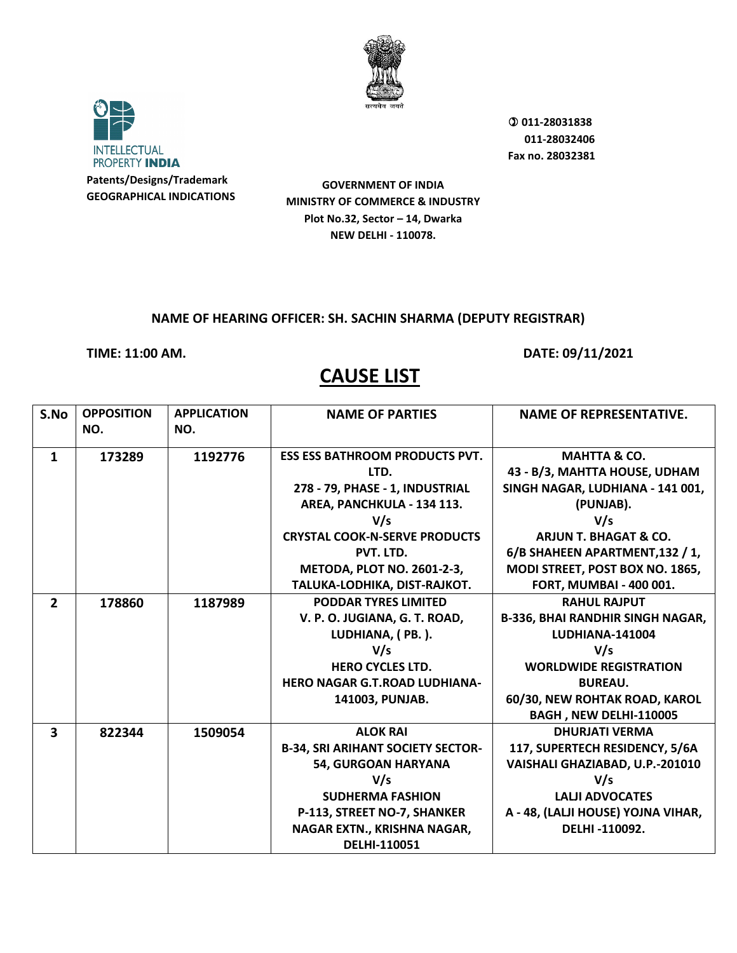



**GOVERNMENT OF INDIA MINISTRY OF COMMERCE & INDUSTRY Plot No.32, Sector – 14, Dwarka NEW DELHI - 110078.**

#### **NAME OF HEARING OFFICER: SH. SACHIN SHARMA (DEPUTY REGISTRAR)**

**TIME: 11:00 AM. DATE: 09/11/2021** 

| S.No                    | <b>OPPOSITION</b><br>NO. | <b>APPLICATION</b><br>NO. | <b>NAME OF PARTIES</b>                   | <b>NAME OF REPRESENTATIVE.</b>          |
|-------------------------|--------------------------|---------------------------|------------------------------------------|-----------------------------------------|
| $\mathbf{1}$            | 173289                   | 1192776                   | <b>ESS ESS BATHROOM PRODUCTS PVT.</b>    | <b>MAHTTA &amp; CO.</b>                 |
|                         |                          |                           | LTD.                                     | 43 - B/3, MAHTTA HOUSE, UDHAM           |
|                         |                          |                           | 278 - 79, PHASE - 1, INDUSTRIAL          | SINGH NAGAR, LUDHIANA - 141 001,        |
|                         |                          |                           | AREA, PANCHKULA - 134 113.               | (PUNJAB).                               |
|                         |                          |                           | V/s                                      | V/s                                     |
|                         |                          |                           | <b>CRYSTAL COOK-N-SERVE PRODUCTS</b>     | <b>ARJUN T. BHAGAT &amp; CO.</b>        |
|                         |                          |                           | PVT. LTD.                                | 6/B SHAHEEN APARTMENT, 132 / 1,         |
|                         |                          |                           | <b>METODA, PLOT NO. 2601-2-3,</b>        | MODI STREET, POST BOX NO. 1865,         |
|                         |                          |                           | TALUKA-LODHIKA, DIST-RAJKOT.             | <b>FORT, MUMBAI - 400 001.</b>          |
| $\overline{2}$          | 178860                   | 1187989                   | <b>PODDAR TYRES LIMITED</b>              | <b>RAHUL RAJPUT</b>                     |
|                         |                          |                           | V. P. O. JUGIANA, G. T. ROAD,            | <b>B-336, BHAI RANDHIR SINGH NAGAR,</b> |
|                         |                          |                           | LUDHIANA, (PB.).                         | <b>LUDHIANA-141004</b>                  |
|                         |                          |                           | V/s                                      | V/s                                     |
|                         |                          |                           | <b>HERO CYCLES LTD.</b>                  | <b>WORLDWIDE REGISTRATION</b>           |
|                         |                          |                           | <b>HERO NAGAR G.T.ROAD LUDHIANA-</b>     | <b>BUREAU.</b>                          |
|                         |                          |                           | 141003, PUNJAB.                          | 60/30, NEW ROHTAK ROAD, KAROL           |
|                         |                          |                           |                                          | BAGH, NEW DELHI-110005                  |
| $\overline{\mathbf{3}}$ | 822344                   | 1509054                   | <b>ALOK RAI</b>                          | <b>DHURJATI VERMA</b>                   |
|                         |                          |                           | <b>B-34, SRI ARIHANT SOCIETY SECTOR-</b> | 117, SUPERTECH RESIDENCY, 5/6A          |
|                         |                          |                           | <b>54, GURGOAN HARYANA</b>               | VAISHALI GHAZIABAD, U.P.-201010         |
|                         |                          |                           | V/s                                      | V/s                                     |
|                         |                          |                           | <b>SUDHERMA FASHION</b>                  | <b>LALJI ADVOCATES</b>                  |
|                         |                          |                           | P-113, STREET NO-7, SHANKER              | A - 48, (LALJI HOUSE) YOJNA VIHAR,      |
|                         |                          |                           | NAGAR EXTN., KRISHNA NAGAR,              | DELHI-110092.                           |
|                         |                          |                           | DELHI-110051                             |                                         |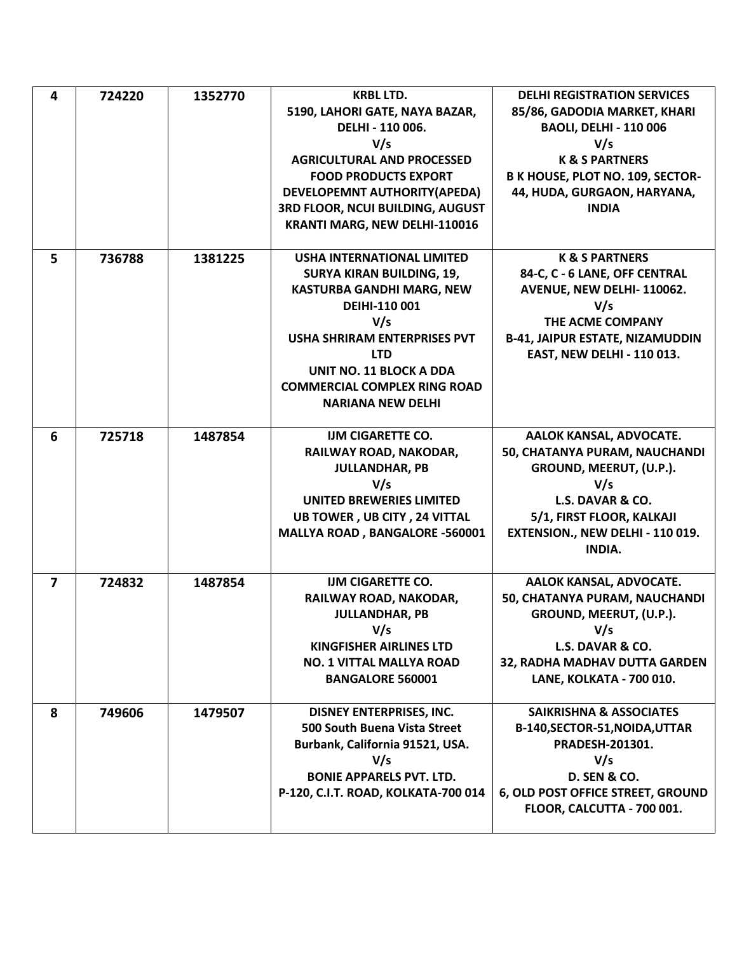| 4              | 724220 | 1352770 | <b>KRBL LTD.</b>                                | <b>DELHI REGISTRATION SERVICES</b>     |
|----------------|--------|---------|-------------------------------------------------|----------------------------------------|
|                |        |         | 5190, LAHORI GATE, NAYA BAZAR,                  | 85/86, GADODIA MARKET, KHARI           |
|                |        |         | DELHI - 110 006.                                | <b>BAOLI, DELHI - 110 006</b>          |
|                |        |         | V/s                                             | V/s                                    |
|                |        |         | <b>AGRICULTURAL AND PROCESSED</b>               | <b>K &amp; S PARTNERS</b>              |
|                |        |         | <b>FOOD PRODUCTS EXPORT</b>                     | B K HOUSE, PLOT NO. 109, SECTOR-       |
|                |        |         | DEVELOPEMNT AUTHORITY(APEDA)                    | 44, HUDA, GURGAON, HARYANA,            |
|                |        |         | 3RD FLOOR, NCUI BUILDING, AUGUST                | <b>INDIA</b>                           |
|                |        |         | KRANTI MARG, NEW DELHI-110016                   |                                        |
|                |        |         |                                                 |                                        |
| 5              | 736788 | 1381225 | <b>USHA INTERNATIONAL LIMITED</b>               | <b>K &amp; S PARTNERS</b>              |
|                |        |         | <b>SURYA KIRAN BUILDING, 19,</b>                | 84-C, C - 6 LANE, OFF CENTRAL          |
|                |        |         | <b>KASTURBA GANDHI MARG, NEW</b>                | AVENUE, NEW DELHI-110062.              |
|                |        |         | DEIHI-110 001                                   | V/s                                    |
|                |        |         | V/s                                             | THE ACME COMPANY                       |
|                |        |         | <b>USHA SHRIRAM ENTERPRISES PVT</b>             | <b>B-41, JAIPUR ESTATE, NIZAMUDDIN</b> |
|                |        |         | <b>LTD</b>                                      | <b>EAST, NEW DELHI - 110 013.</b>      |
|                |        |         | <b>UNIT NO. 11 BLOCK A DDA</b>                  |                                        |
|                |        |         | <b>COMMERCIAL COMPLEX RING ROAD</b>             |                                        |
|                |        |         | <b>NARIANA NEW DELHI</b>                        |                                        |
|                |        |         |                                                 |                                        |
| 6              | 725718 | 1487854 | <b>IJM CIGARETTE CO.</b>                        | AALOK KANSAL, ADVOCATE.                |
|                |        |         | RAILWAY ROAD, NAKODAR,                          | 50, CHATANYA PURAM, NAUCHANDI          |
|                |        |         | <b>JULLANDHAR, PB</b>                           | GROUND, MEERUT, (U.P.).                |
|                |        |         | V/s                                             | V/s                                    |
|                |        |         | <b>UNITED BREWERIES LIMITED</b>                 | L.S. DAVAR & CO.                       |
|                |        |         | UB TOWER, UB CITY, 24 VITTAL                    | 5/1, FIRST FLOOR, KALKAJI              |
|                |        |         | MALLYA ROAD, BANGALORE -560001                  | EXTENSION., NEW DELHI - 110 019.       |
|                |        |         |                                                 | <b>INDIA.</b>                          |
|                |        |         |                                                 |                                        |
| $\overline{ }$ | 724832 | 1487854 | <b>IJM CIGARETTE CO.</b>                        | AALOK KANSAL, ADVOCATE.                |
|                |        |         | RAILWAY ROAD, NAKODAR,<br><b>JULLANDHAR, PB</b> | 50, CHATANYA PURAM, NAUCHANDI          |
|                |        |         |                                                 | GROUND, MEERUT, (U.P.).                |
|                |        |         | V/s<br><b>KINGFISHER AIRLINES LTD</b>           | V/s<br>L.S. DAVAR & CO.                |
|                |        |         | <b>NO. 1 VITTAL MALLYA ROAD</b>                 | 32, RADHA MADHAV DUTTA GARDEN          |
|                |        |         | <b>BANGALORE 560001</b>                         | LANE, KOLKATA - 700 010.               |
|                |        |         |                                                 |                                        |
| 8              | 749606 | 1479507 | <b>DISNEY ENTERPRISES, INC.</b>                 | <b>SAIKRISHNA &amp; ASSOCIATES</b>     |
|                |        |         | 500 South Buena Vista Street                    | B-140, SECTOR-51, NOIDA, UTTAR         |
|                |        |         | Burbank, California 91521, USA.                 | PRADESH-201301.                        |
|                |        |         | V/s                                             | V/s                                    |
|                |        |         | <b>BONIE APPARELS PVT. LTD.</b>                 | <b>D. SEN &amp; CO.</b>                |
|                |        |         | P-120, C.I.T. ROAD, KOLKATA-700 014             | 6, OLD POST OFFICE STREET, GROUND      |
|                |        |         |                                                 | FLOOR, CALCUTTA - 700 001.             |
|                |        |         |                                                 |                                        |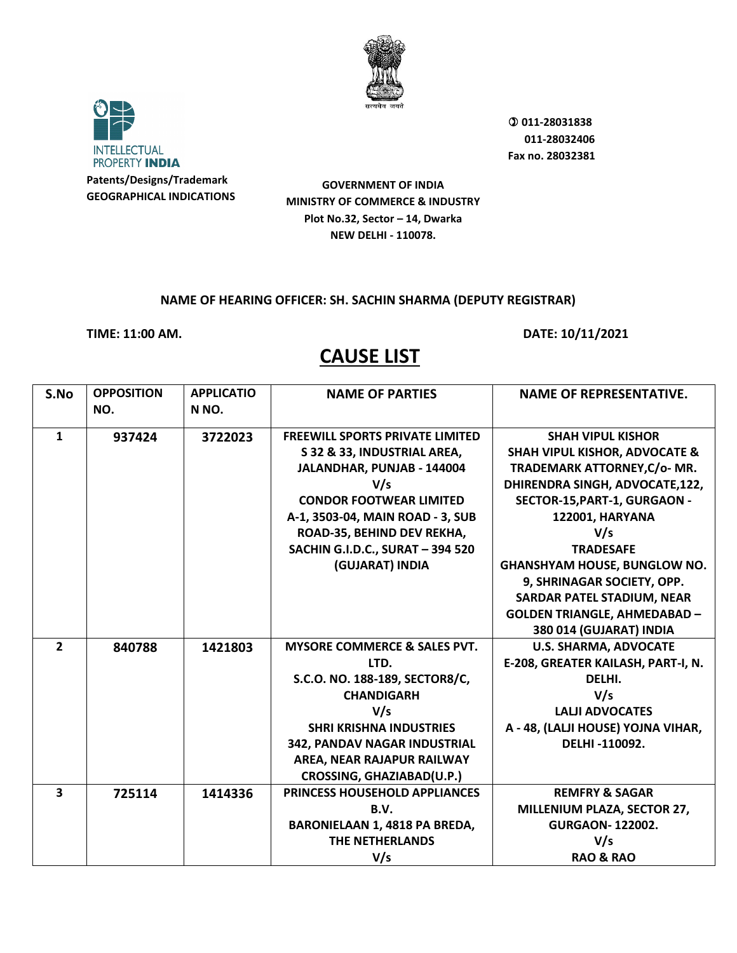



**GOVERNMENT OF INDIA MINISTRY OF COMMERCE & INDUSTRY Plot No.32, Sector – 14, Dwarka NEW DELHI - 110078.**

#### **NAME OF HEARING OFFICER: SH. SACHIN SHARMA (DEPUTY REGISTRAR)**

**TIME: 11:00 AM. DATE: 10/11/2021** 

| S.No                    | <b>OPPOSITION</b> | <b>APPLICATIO</b> | <b>NAME OF PARTIES</b>                  | <b>NAME OF REPRESENTATIVE.</b>           |
|-------------------------|-------------------|-------------------|-----------------------------------------|------------------------------------------|
|                         | NO.               | N <sub>NO</sub> . |                                         |                                          |
| $\mathbf{1}$            | 937424            | 3722023           | <b>FREEWILL SPORTS PRIVATE LIMITED</b>  | <b>SHAH VIPUL KISHOR</b>                 |
|                         |                   |                   | S 32 & 33, INDUSTRIAL AREA,             | <b>SHAH VIPUL KISHOR, ADVOCATE &amp;</b> |
|                         |                   |                   | JALANDHAR, PUNJAB - 144004              | TRADEMARK ATTORNEY, C/o- MR.             |
|                         |                   |                   | V/s                                     | DHIRENDRA SINGH, ADVOCATE,122,           |
|                         |                   |                   | <b>CONDOR FOOTWEAR LIMITED</b>          | SECTOR-15, PART-1, GURGAON -             |
|                         |                   |                   | A-1, 3503-04, MAIN ROAD - 3, SUB        | <b>122001, HARYANA</b>                   |
|                         |                   |                   | ROAD-35, BEHIND DEV REKHA,              | V/s                                      |
|                         |                   |                   | <b>SACHIN G.I.D.C., SURAT - 394 520</b> | <b>TRADESAFE</b>                         |
|                         |                   |                   | (GUJARAT) INDIA                         | <b>GHANSHYAM HOUSE, BUNGLOW NO.</b>      |
|                         |                   |                   |                                         | 9, SHRINAGAR SOCIETY, OPP.               |
|                         |                   |                   |                                         | <b>SARDAR PATEL STADIUM, NEAR</b>        |
|                         |                   |                   |                                         | <b>GOLDEN TRIANGLE, AHMEDABAD -</b>      |
|                         |                   |                   |                                         | 380 014 (GUJARAT) INDIA                  |
| $\overline{2}$          | 840788            | 1421803           | <b>MYSORE COMMERCE &amp; SALES PVT.</b> | <b>U.S. SHARMA, ADVOCATE</b>             |
|                         |                   |                   | LTD.                                    | E-208, GREATER KAILASH, PART-I, N.       |
|                         |                   |                   | S.C.O. NO. 188-189, SECTOR8/C,          | DELHI.                                   |
|                         |                   |                   | <b>CHANDIGARH</b>                       | V/s                                      |
|                         |                   |                   | V/s                                     | <b>LALJI ADVOCATES</b>                   |
|                         |                   |                   | <b>SHRI KRISHNA INDUSTRIES</b>          | A - 48, (LALJI HOUSE) YOJNA VIHAR,       |
|                         |                   |                   | 342, PANDAV NAGAR INDUSTRIAL            | DELHI-110092.                            |
|                         |                   |                   | AREA, NEAR RAJAPUR RAILWAY              |                                          |
|                         |                   |                   | CROSSING, GHAZIABAD(U.P.)               |                                          |
| $\overline{\mathbf{3}}$ | 725114            | 1414336           | PRINCESS HOUSEHOLD APPLIANCES           | <b>REMFRY &amp; SAGAR</b>                |
|                         |                   |                   | B.V.                                    | MILLENIUM PLAZA, SECTOR 27,              |
|                         |                   |                   | <b>BARONIELAAN 1, 4818 PA BREDA,</b>    | <b>GURGAON-122002.</b>                   |
|                         |                   |                   | <b>THE NETHERLANDS</b>                  | V/s                                      |
|                         |                   |                   | V/s                                     | <b>RAO &amp; RAO</b>                     |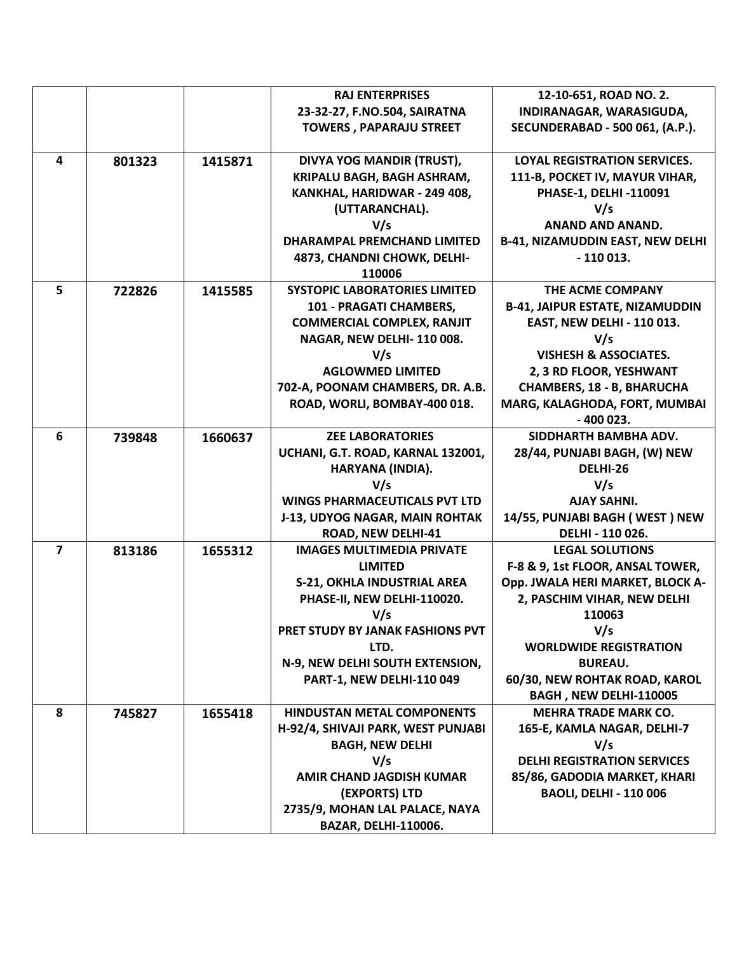|                |        |         | <b>RAJ ENTERPRISES</b>               | 12-10-651, ROAD NO. 2.                  |
|----------------|--------|---------|--------------------------------------|-----------------------------------------|
|                |        |         | 23-32-27, F.NO.504, SAIRATNA         | INDIRANAGAR, WARASIGUDA,                |
|                |        |         | <b>TOWERS, PAPARAJU STREET</b>       | <b>SECUNDERABAD - 500 061, (A.P.).</b>  |
|                |        |         |                                      |                                         |
| 4              | 801323 | 1415871 | DIVYA YOG MANDIR (TRUST),            | <b>LOYAL REGISTRATION SERVICES.</b>     |
|                |        |         | KRIPALU BAGH, BAGH ASHRAM,           | 111-B, POCKET IV, MAYUR VIHAR,          |
|                |        |         | KANKHAL, HARIDWAR - 249 408,         | PHASE-1, DELHI -110091                  |
|                |        |         | (UTTARANCHAL).                       | V/s                                     |
|                |        |         | V/s                                  | <b>ANAND AND ANAND.</b>                 |
|                |        |         | <b>DHARAMPAL PREMCHAND LIMITED</b>   | <b>B-41, NIZAMUDDIN EAST, NEW DELHI</b> |
|                |        |         | 4873, CHANDNI CHOWK, DELHI-          | $-110013.$                              |
|                |        |         | 110006                               |                                         |
| 5              | 722826 | 1415585 | <b>SYSTOPIC LABORATORIES LIMITED</b> | THE ACME COMPANY                        |
|                |        |         | 101 - PRAGATI CHAMBERS,              | <b>B-41, JAIPUR ESTATE, NIZAMUDDIN</b>  |
|                |        |         | <b>COMMERCIAL COMPLEX, RANJIT</b>    | <b>EAST, NEW DELHI - 110 013.</b>       |
|                |        |         | NAGAR, NEW DELHI-110 008.            | V/s                                     |
|                |        |         | V/s                                  | <b>VISHESH &amp; ASSOCIATES.</b>        |
|                |        |         | <b>AGLOWMED LIMITED</b>              | 2, 3 RD FLOOR, YESHWANT                 |
|                |        |         | 702-A, POONAM CHAMBERS, DR. A.B.     | <b>CHAMBERS, 18 - B, BHARUCHA</b>       |
|                |        |         | ROAD, WORLI, BOMBAY-400 018.         | MARG, KALAGHODA, FORT, MUMBAI           |
|                |        |         |                                      | $-400023.$                              |
| 6              | 739848 | 1660637 | <b>ZEE LABORATORIES</b>              | SIDDHARTH BAMBHA ADV.                   |
|                |        |         | UCHANI, G.T. ROAD, KARNAL 132001,    | 28/44, PUNJABI BAGH, (W) NEW            |
|                |        |         | HARYANA (INDIA).                     | DELHI-26                                |
|                |        |         | V/s                                  | V/s                                     |
|                |        |         | <b>WINGS PHARMACEUTICALS PVT LTD</b> | <b>AJAY SAHNI.</b>                      |
|                |        |         | J-13, UDYOG NAGAR, MAIN ROHTAK       | 14/55, PUNJABI BAGH (WEST) NEW          |
|                |        |         | <b>ROAD, NEW DELHI-41</b>            | DELHI - 110 026.                        |
| $\overline{7}$ | 813186 | 1655312 | <b>IMAGES MULTIMEDIA PRIVATE</b>     | <b>LEGAL SOLUTIONS</b>                  |
|                |        |         | <b>LIMITED</b>                       | F-8 & 9, 1st FLOOR, ANSAL TOWER,        |
|                |        |         | <b>S-21, OKHLA INDUSTRIAL AREA</b>   | Opp. JWALA HERI MARKET, BLOCK A-        |
|                |        |         | PHASE-II, NEW DELHI-110020.          | 2, PASCHIM VIHAR, NEW DELHI             |
|                |        |         | V/s                                  | 110063                                  |
|                |        |         | PRET STUDY BY JANAK FASHIONS PVT     | V/s                                     |
|                |        |         | LTD.                                 | <b>WORLDWIDE REGISTRATION</b>           |
|                |        |         | N-9, NEW DELHI SOUTH EXTENSION,      | <b>BUREAU.</b>                          |
|                |        |         | PART-1, NEW DELHI-110 049            | 60/30, NEW ROHTAK ROAD, KAROL           |
|                |        |         |                                      | BAGH, NEW DELHI-110005                  |
| 8              | 745827 | 1655418 | <b>HINDUSTAN METAL COMPONENTS</b>    | <b>MEHRA TRADE MARK CO.</b>             |
|                |        |         | H-92/4, SHIVAJI PARK, WEST PUNJABI   | 165-E, KAMLA NAGAR, DELHI-7             |
|                |        |         | <b>BAGH, NEW DELHI</b>               | V/s                                     |
|                |        |         | V/s                                  | <b>DELHI REGISTRATION SERVICES</b>      |
|                |        |         | <b>AMIR CHAND JAGDISH KUMAR</b>      | 85/86, GADODIA MARKET, KHARI            |
|                |        |         | (EXPORTS) LTD                        | <b>BAOLI, DELHI - 110 006</b>           |
|                |        |         | 2735/9, MOHAN LAL PALACE, NAYA       |                                         |
|                |        |         | <b>BAZAR, DELHI-110006.</b>          |                                         |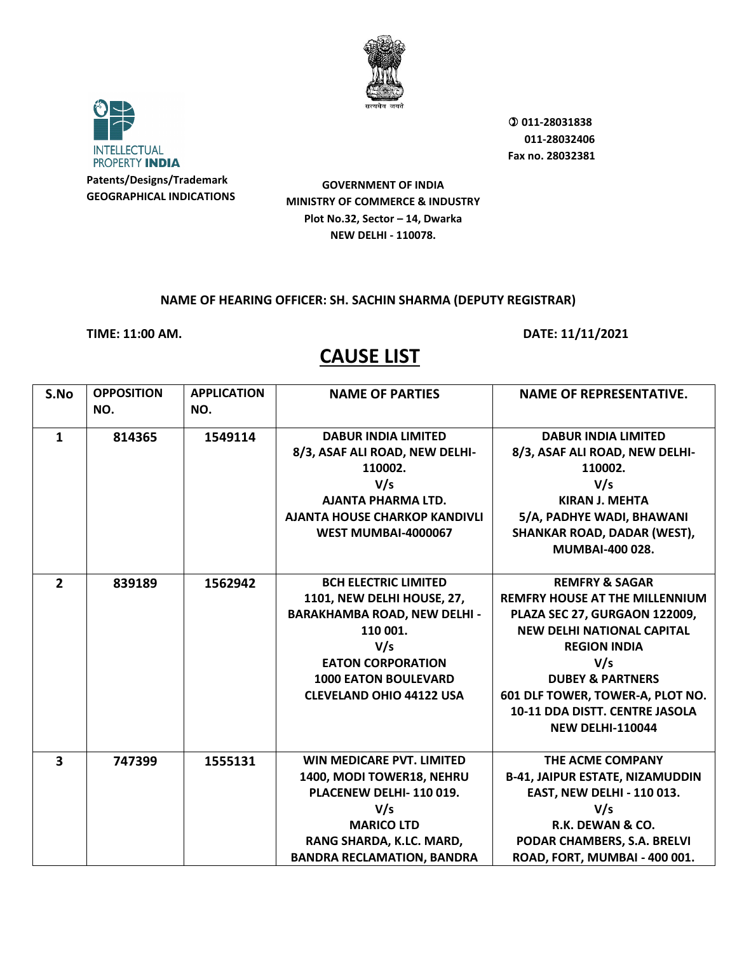



**GOVERNMENT OF INDIA MINISTRY OF COMMERCE & INDUSTRY Plot No.32, Sector – 14, Dwarka NEW DELHI - 110078.**

#### **NAME OF HEARING OFFICER: SH. SACHIN SHARMA (DEPUTY REGISTRAR)**

**TIME: 11:00 AM. DATE: 11/11/2021** 

| S.No                    | <b>OPPOSITION</b><br>NO. | <b>APPLICATION</b><br>NO. | <b>NAME OF PARTIES</b>              | <b>NAME OF REPRESENTATIVE.</b>         |
|-------------------------|--------------------------|---------------------------|-------------------------------------|----------------------------------------|
| $\mathbf{1}$            | 814365                   | 1549114                   | <b>DABUR INDIA LIMITED</b>          | <b>DABUR INDIA LIMITED</b>             |
|                         |                          |                           | 8/3, ASAF ALI ROAD, NEW DELHI-      | 8/3, ASAF ALI ROAD, NEW DELHI-         |
|                         |                          |                           | 110002.                             | 110002.                                |
|                         |                          |                           | V/s                                 | V/s                                    |
|                         |                          |                           | <b>AJANTA PHARMA LTD.</b>           | <b>KIRAN J. MEHTA</b>                  |
|                         |                          |                           | AJANTA HOUSE CHARKOP KANDIVLI       | 5/A, PADHYE WADI, BHAWANI              |
|                         |                          |                           | WEST MUMBAI-4000067                 | SHANKAR ROAD, DADAR (WEST),            |
|                         |                          |                           |                                     | <b>MUMBAI-400 028.</b>                 |
| $\overline{2}$          |                          |                           | <b>BCH ELECTRIC LIMITED</b>         | <b>REMFRY &amp; SAGAR</b>              |
|                         | 839189                   | 1562942                   | 1101, NEW DELHI HOUSE, 27,          | <b>REMFRY HOUSE AT THE MILLENNIUM</b>  |
|                         |                          |                           | <b>BARAKHAMBA ROAD, NEW DELHI -</b> | PLAZA SEC 27, GURGAON 122009,          |
|                         |                          |                           | 110 001.                            | <b>NEW DELHI NATIONAL CAPITAL</b>      |
|                         |                          |                           | V/s                                 | <b>REGION INDIA</b>                    |
|                         |                          |                           | <b>EATON CORPORATION</b>            |                                        |
|                         |                          |                           | <b>1000 EATON BOULEVARD</b>         | V/s<br><b>DUBEY &amp; PARTNERS</b>     |
|                         |                          |                           | <b>CLEVELAND OHIO 44122 USA</b>     | 601 DLF TOWER, TOWER-A, PLOT NO.       |
|                         |                          |                           |                                     | 10-11 DDA DISTT. CENTRE JASOLA         |
|                         |                          |                           |                                     |                                        |
|                         |                          |                           |                                     | <b>NEW DELHI-110044</b>                |
| $\overline{\mathbf{3}}$ | 747399                   | 1555131                   | WIN MEDICARE PVT. LIMITED           | THE ACME COMPANY                       |
|                         |                          |                           | 1400, MODI TOWER18, NEHRU           | <b>B-41, JAIPUR ESTATE, NIZAMUDDIN</b> |
|                         |                          |                           | PLACENEW DELHI-110019.              | <b>EAST, NEW DELHI - 110 013.</b>      |
|                         |                          |                           | V/s                                 | V/s                                    |
|                         |                          |                           | <b>MARICO LTD</b>                   | R.K. DEWAN & CO.                       |
|                         |                          |                           | RANG SHARDA, K.LC. MARD,            | PODAR CHAMBERS, S.A. BRELVI            |
|                         |                          |                           | <b>BANDRA RECLAMATION, BANDRA</b>   | ROAD, FORT, MUMBAI - 400 001.          |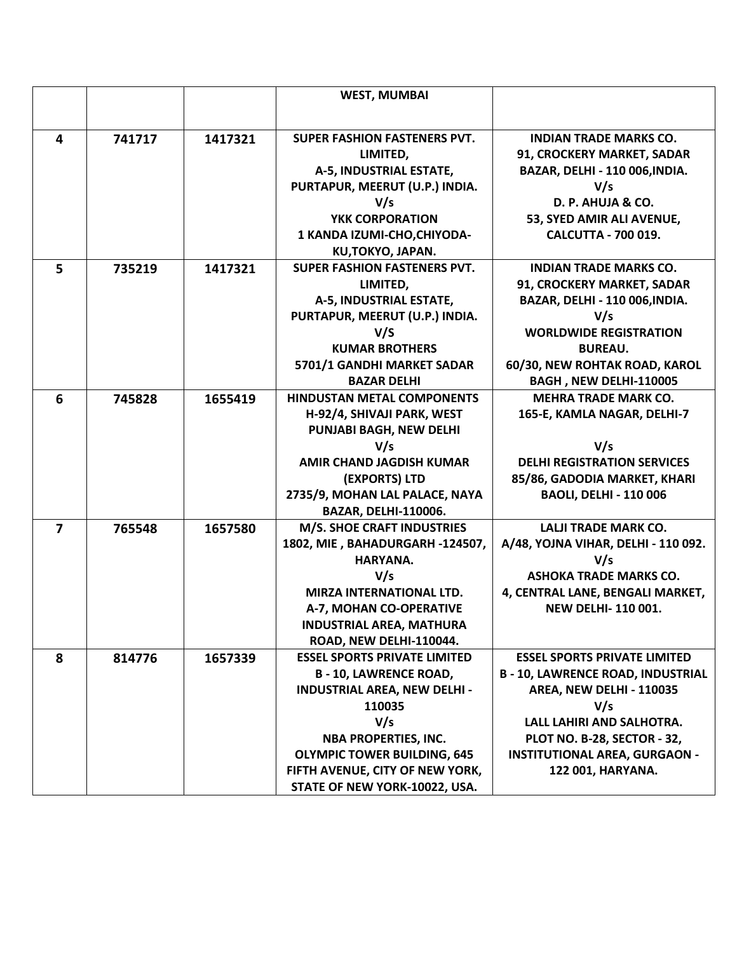|                |        |         | <b>WEST, MUMBAI</b>                 |                                        |
|----------------|--------|---------|-------------------------------------|----------------------------------------|
|                |        |         |                                     |                                        |
|                |        |         |                                     |                                        |
| 4              | 741717 | 1417321 | SUPER FASHION FASTENERS PVT.        | <b>INDIAN TRADE MARKS CO.</b>          |
|                |        |         | LIMITED,                            | 91, CROCKERY MARKET, SADAR             |
|                |        |         | A-5, INDUSTRIAL ESTATE,             | BAZAR, DELHI - 110 006, INDIA.         |
|                |        |         | PURTAPUR, MEERUT (U.P.) INDIA.      | V/s                                    |
|                |        |         | V/s                                 | D. P. AHUJA & CO.                      |
|                |        |         | YKK CORPORATION                     | 53, SYED AMIR ALI AVENUE,              |
|                |        |         | 1 KANDA IZUMI-CHO, CHIYODA-         | <b>CALCUTTA - 700 019.</b>             |
|                |        |         | KU,TOKYO, JAPAN.                    |                                        |
| 5              | 735219 | 1417321 | SUPER FASHION FASTENERS PVT.        | <b>INDIAN TRADE MARKS CO.</b>          |
|                |        |         | LIMITED,                            | 91, CROCKERY MARKET, SADAR             |
|                |        |         | A-5, INDUSTRIAL ESTATE,             | BAZAR, DELHI - 110 006, INDIA.         |
|                |        |         | PURTAPUR, MEERUT (U.P.) INDIA.      | V/s                                    |
|                |        |         | V/S                                 | <b>WORLDWIDE REGISTRATION</b>          |
|                |        |         | <b>KUMAR BROTHERS</b>               | <b>BUREAU.</b>                         |
|                |        |         | 5701/1 GANDHI MARKET SADAR          | 60/30, NEW ROHTAK ROAD, KAROL          |
|                |        |         | <b>BAZAR DELHI</b>                  | BAGH, NEW DELHI-110005                 |
| 6              | 745828 | 1655419 | <b>HINDUSTAN METAL COMPONENTS</b>   | <b>MEHRA TRADE MARK CO.</b>            |
|                |        |         | H-92/4, SHIVAJI PARK, WEST          | 165-E, KAMLA NAGAR, DELHI-7            |
|                |        |         | <b>PUNJABI BAGH, NEW DELHI</b>      |                                        |
|                |        |         | V/s                                 | V/s                                    |
|                |        |         | AMIR CHAND JAGDISH KUMAR            | <b>DELHI REGISTRATION SERVICES</b>     |
|                |        |         | (EXPORTS) LTD                       | 85/86, GADODIA MARKET, KHARI           |
|                |        |         | 2735/9, MOHAN LAL PALACE, NAYA      | <b>BAOLI, DELHI - 110 006</b>          |
|                |        |         | <b>BAZAR, DELHI-110006.</b>         |                                        |
| $\overline{7}$ | 765548 | 1657580 | <b>M/S. SHOE CRAFT INDUSTRIES</b>   | <b>LALJI TRADE MARK CO.</b>            |
|                |        |         | 1802, MIE, BAHADURGARH-124507,      | A/48, YOJNA VIHAR, DELHI - 110 092.    |
|                |        |         | HARYANA.                            | V/s                                    |
|                |        |         | V/s                                 | <b>ASHOKA TRADE MARKS CO.</b>          |
|                |        |         | MIRZA INTERNATIONAL LTD.            | 4, CENTRAL LANE, BENGALI MARKET,       |
|                |        |         | A-7, MOHAN CO-OPERATIVE             | <b>NEW DELHI-110001.</b>               |
|                |        |         | <b>INDUSTRIAL AREA, MATHURA</b>     |                                        |
|                |        |         | ROAD, NEW DELHI-110044.             |                                        |
| 8              | 814776 | 1657339 | <b>ESSEL SPORTS PRIVATE LIMITED</b> | <b>ESSEL SPORTS PRIVATE LIMITED</b>    |
|                |        |         | <b>B-10, LAWRENCE ROAD,</b>         | <b>B-10, LAWRENCE ROAD, INDUSTRIAL</b> |
|                |        |         | <b>INDUSTRIAL AREA, NEW DELHI -</b> | AREA, NEW DELHI - 110035               |
|                |        |         | 110035                              | V/s                                    |
|                |        |         | V/s                                 | LALL LAHIRI AND SALHOTRA.              |
|                |        |         | <b>NBA PROPERTIES, INC.</b>         | PLOT NO. B-28, SECTOR - 32,            |
|                |        |         | <b>OLYMPIC TOWER BUILDING, 645</b>  | <b>INSTITUTIONAL AREA, GURGAON -</b>   |
|                |        |         | FIFTH AVENUE, CITY OF NEW YORK,     | 122 001, HARYANA.                      |
|                |        |         | STATE OF NEW YORK-10022, USA.       |                                        |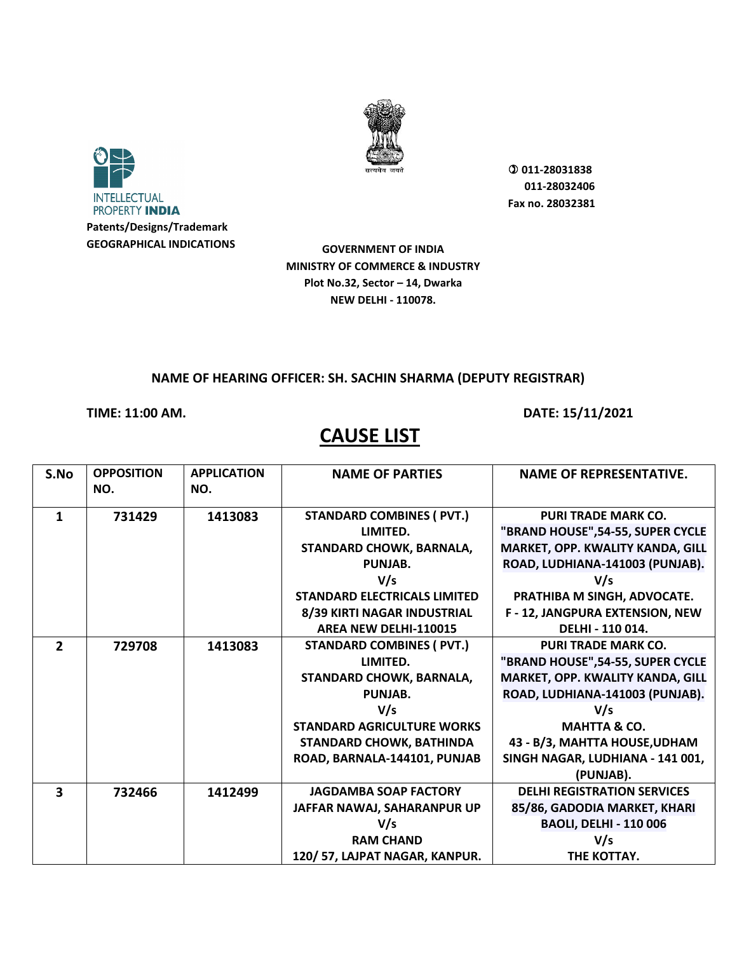



**GOVERNMENT OF INDIA MINISTRY OF COMMERCE & INDUSTRY Plot No.32, Sector – 14, Dwarka NEW DELHI - 110078.**

#### **NAME OF HEARING OFFICER: SH. SACHIN SHARMA (DEPUTY REGISTRAR)**

### **TIME: 11:00 AM. DATE: 15/11/2021**

| S.No           | <b>OPPOSITION</b><br>NO. | <b>APPLICATION</b><br>NO. | <b>NAME OF PARTIES</b>              | <b>NAME OF REPRESENTATIVE.</b>     |
|----------------|--------------------------|---------------------------|-------------------------------------|------------------------------------|
| 1              | 731429                   | 1413083                   | <b>STANDARD COMBINES ( PVT.)</b>    | <b>PURI TRADE MARK CO.</b>         |
|                |                          |                           | LIMITED.                            | "BRAND HOUSE", 54-55, SUPER CYCLE  |
|                |                          |                           | STANDARD CHOWK, BARNALA,            | MARKET, OPP. KWALITY KANDA, GILL   |
|                |                          |                           | PUNJAB.                             | ROAD, LUDHIANA-141003 (PUNJAB).    |
|                |                          |                           | V/s                                 | V/s                                |
|                |                          |                           | <b>STANDARD ELECTRICALS LIMITED</b> | PRATHIBA M SINGH, ADVOCATE.        |
|                |                          |                           | 8/39 KIRTI NAGAR INDUSTRIAL         | F - 12, JANGPURA EXTENSION, NEW    |
|                |                          |                           | <b>AREA NEW DELHI-110015</b>        | DELHI - 110 014.                   |
| $\overline{2}$ | 729708                   | 1413083                   | <b>STANDARD COMBINES ( PVT.)</b>    | <b>PURI TRADE MARK CO.</b>         |
|                |                          |                           | LIMITED.                            | "BRAND HOUSE", 54-55, SUPER CYCLE  |
|                |                          |                           | STANDARD CHOWK, BARNALA,            | MARKET, OPP. KWALITY KANDA, GILL   |
|                |                          |                           | PUNJAB.                             | ROAD, LUDHIANA-141003 (PUNJAB).    |
|                |                          |                           | V/s                                 | V/s                                |
|                |                          |                           | <b>STANDARD AGRICULTURE WORKS</b>   | <b>MAHTTA &amp; CO.</b>            |
|                |                          |                           | STANDARD CHOWK, BATHINDA            | 43 - B/3, MAHTTA HOUSE, UDHAM      |
|                |                          |                           | ROAD, BARNALA-144101, PUNJAB        | SINGH NAGAR, LUDHIANA - 141 001,   |
|                |                          |                           |                                     | (PUNJAB).                          |
| 3              | 732466                   | 1412499                   | <b>JAGDAMBA SOAP FACTORY</b>        | <b>DELHI REGISTRATION SERVICES</b> |
|                |                          |                           | JAFFAR NAWAJ, SAHARANPUR UP         | 85/86, GADODIA MARKET, KHARI       |
|                |                          |                           | V/s                                 | <b>BAOLI, DELHI - 110 006</b>      |
|                |                          |                           | <b>RAM CHAND</b>                    | V/s                                |
|                |                          |                           | 120/57, LAJPAT NAGAR, KANPUR.       | THE KOTTAY.                        |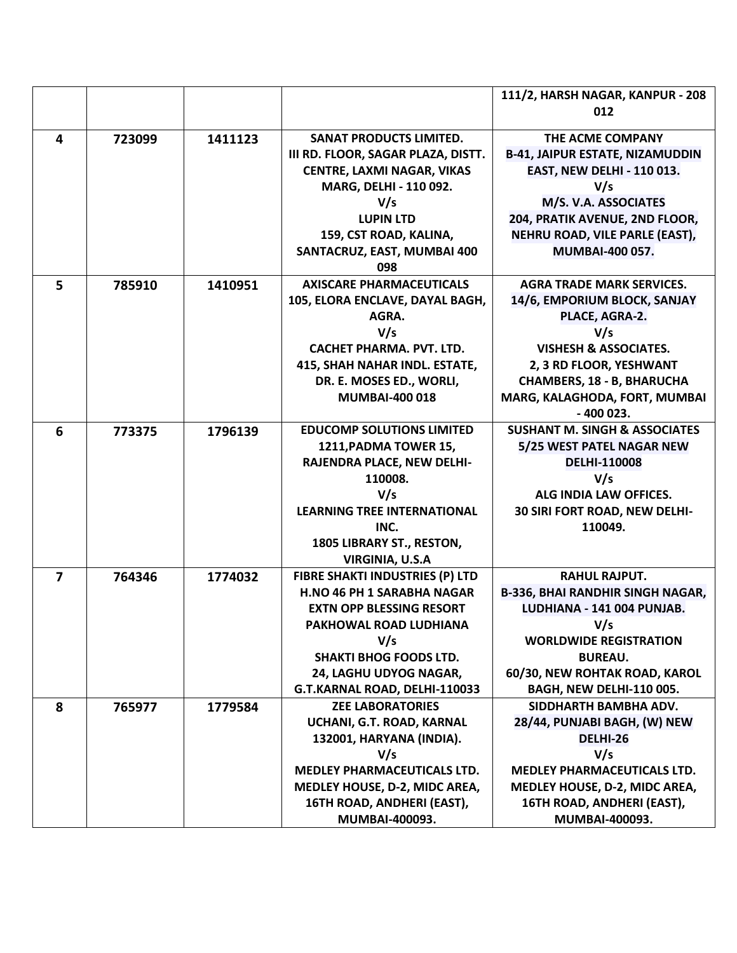|                         |        |         |                                                     | 111/2, HARSH NAGAR, KANPUR - 208         |
|-------------------------|--------|---------|-----------------------------------------------------|------------------------------------------|
|                         |        |         |                                                     | 012                                      |
| $\overline{\mathbf{4}}$ | 723099 | 1411123 | <b>SANAT PRODUCTS LIMITED.</b>                      | THE ACME COMPANY                         |
|                         |        |         | III RD. FLOOR, SAGAR PLAZA, DISTT.                  | <b>B-41, JAIPUR ESTATE, NIZAMUDDIN</b>   |
|                         |        |         | <b>CENTRE, LAXMI NAGAR, VIKAS</b>                   | <b>EAST, NEW DELHI - 110 013.</b>        |
|                         |        |         | MARG, DELHI - 110 092.                              | V/s                                      |
|                         |        |         | V/s                                                 | M/S. V.A. ASSOCIATES                     |
|                         |        |         | <b>LUPIN LTD</b>                                    | 204, PRATIK AVENUE, 2ND FLOOR,           |
|                         |        |         | 159, CST ROAD, KALINA,                              | NEHRU ROAD, VILE PARLE (EAST),           |
|                         |        |         | SANTACRUZ, EAST, MUMBAI 400<br>098                  | <b>MUMBAI-400 057.</b>                   |
| 5                       | 785910 | 1410951 | <b>AXISCARE PHARMACEUTICALS</b>                     | <b>AGRA TRADE MARK SERVICES.</b>         |
|                         |        |         | 105, ELORA ENCLAVE, DAYAL BAGH,                     | 14/6, EMPORIUM BLOCK, SANJAY             |
|                         |        |         | AGRA.                                               | PLACE, AGRA-2.                           |
|                         |        |         | V/s                                                 | V/s                                      |
|                         |        |         | <b>CACHET PHARMA. PVT. LTD.</b>                     | <b>VISHESH &amp; ASSOCIATES.</b>         |
|                         |        |         | 415, SHAH NAHAR INDL. ESTATE,                       | 2, 3 RD FLOOR, YESHWANT                  |
|                         |        |         | DR. E. MOSES ED., WORLI,                            | <b>CHAMBERS, 18 - B, BHARUCHA</b>        |
|                         |        |         | <b>MUMBAI-400 018</b>                               | MARG, KALAGHODA, FORT, MUMBAI            |
|                         |        |         |                                                     | $-400023.$                               |
| 6                       | 773375 | 1796139 | <b>EDUCOMP SOLUTIONS LIMITED</b>                    | <b>SUSHANT M. SINGH &amp; ASSOCIATES</b> |
|                         |        |         | 1211, PADMA TOWER 15,                               | 5/25 WEST PATEL NAGAR NEW                |
|                         |        |         | RAJENDRA PLACE, NEW DELHI-                          | <b>DELHI-110008</b>                      |
|                         |        |         | 110008.                                             | V/s                                      |
|                         |        |         | V/s                                                 | ALG INDIA LAW OFFICES.                   |
|                         |        |         | <b>LEARNING TREE INTERNATIONAL</b>                  | 30 SIRI FORT ROAD, NEW DELHI-            |
|                         |        |         | INC.                                                | 110049.                                  |
|                         |        |         | 1805 LIBRARY ST., RESTON,<br><b>VIRGINIA, U.S.A</b> |                                          |
| 7                       | 764346 | 1774032 | <b>FIBRE SHAKTI INDUSTRIES (P) LTD</b>              | <b>RAHUL RAJPUT.</b>                     |
|                         |        |         | <b>H.NO 46 PH 1 SARABHA NAGAR</b>                   | <b>B-336, BHAI RANDHIR SINGH NAGAR,</b>  |
|                         |        |         | <b>EXTN OPP BLESSING RESORT</b>                     | LUDHIANA - 141 004 PUNJAB.               |
|                         |        |         | PAKHOWAL ROAD LUDHIANA                              | V/s                                      |
|                         |        |         | V/s                                                 | <b>WORLDWIDE REGISTRATION</b>            |
|                         |        |         | <b>SHAKTI BHOG FOODS LTD.</b>                       | <b>BUREAU.</b>                           |
|                         |        |         | 24, LAGHU UDYOG NAGAR,                              | 60/30, NEW ROHTAK ROAD, KAROL            |
|                         |        |         | G.T.KARNAL ROAD, DELHI-110033                       | <b>BAGH, NEW DELHI-110 005.</b>          |
| 8                       | 765977 | 1779584 | <b>ZEE LABORATORIES</b>                             | SIDDHARTH BAMBHA ADV.                    |
|                         |        |         | UCHANI, G.T. ROAD, KARNAL                           | 28/44, PUNJABI BAGH, (W) NEW             |
|                         |        |         | 132001, HARYANA (INDIA).                            | DELHI-26                                 |
|                         |        |         | V/s                                                 | V/s                                      |
|                         |        |         | <b>MEDLEY PHARMACEUTICALS LTD.</b>                  | <b>MEDLEY PHARMACEUTICALS LTD.</b>       |
|                         |        |         | MEDLEY HOUSE, D-2, MIDC AREA,                       | MEDLEY HOUSE, D-2, MIDC AREA,            |
|                         |        |         | 16TH ROAD, ANDHERI (EAST),                          | 16TH ROAD, ANDHERI (EAST),               |
|                         |        |         | MUMBAI-400093.                                      | MUMBAI-400093.                           |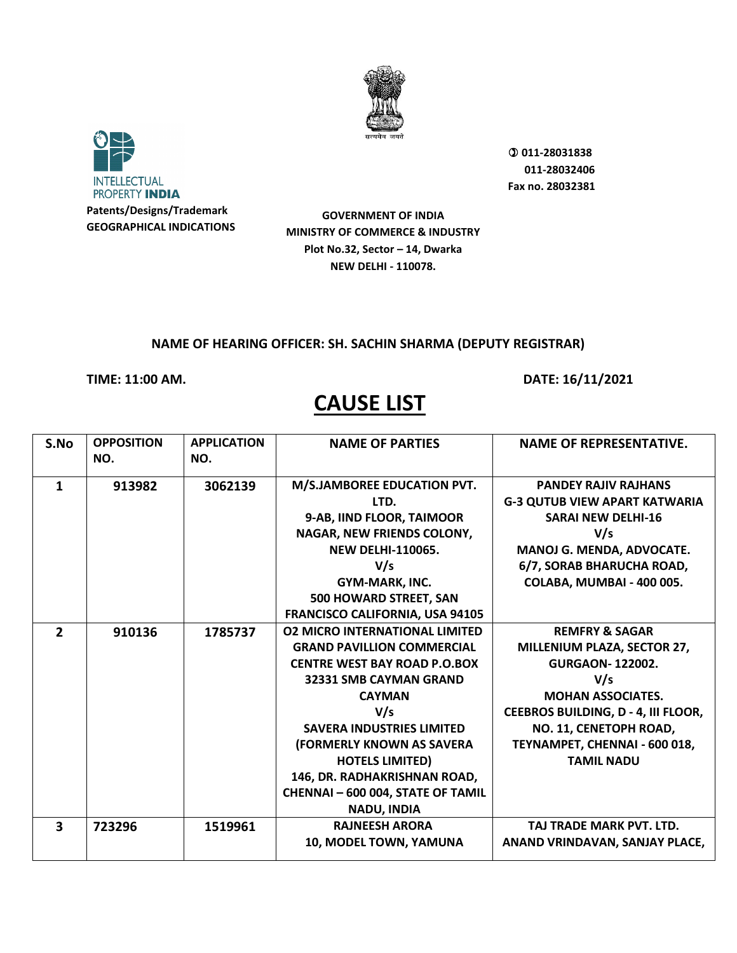



**GOVERNMENT OF INDIA MINISTRY OF COMMERCE & INDUSTRY Plot No.32, Sector – 14, Dwarka NEW DELHI - 110078.**

#### **NAME OF HEARING OFFICER: SH. SACHIN SHARMA (DEPUTY REGISTRAR)**

**TIME: 11:00 AM. DATE: 16/11/2021** 

| S.No                    | <b>OPPOSITION</b> | <b>APPLICATION</b> | <b>NAME OF PARTIES</b>                 | <b>NAME OF REPRESENTATIVE.</b>             |
|-------------------------|-------------------|--------------------|----------------------------------------|--------------------------------------------|
|                         | NO.               | NO.                |                                        |                                            |
| 1                       | 913982            | 3062139            | M/S.JAMBOREE EDUCATION PVT.            | <b>PANDEY RAJIV RAJHANS</b>                |
|                         |                   |                    | LTD.                                   | <b>G-3 QUTUB VIEW APART KATWARIA</b>       |
|                         |                   |                    | 9-AB, IIND FLOOR, TAIMOOR              | <b>SARAI NEW DELHI-16</b>                  |
|                         |                   |                    | NAGAR, NEW FRIENDS COLONY,             | V/s                                        |
|                         |                   |                    | <b>NEW DELHI-110065.</b>               | MANOJ G. MENDA, ADVOCATE.                  |
|                         |                   |                    | V/s                                    | 6/7, SORAB BHARUCHA ROAD,                  |
|                         |                   |                    | GYM-MARK, INC.                         | COLABA, MUMBAI - 400 005.                  |
|                         |                   |                    | 500 HOWARD STREET, SAN                 |                                            |
|                         |                   |                    | <b>FRANCISCO CALIFORNIA, USA 94105</b> |                                            |
| $\overline{2}$          | 910136            | 1785737            | <b>02 MICRO INTERNATIONAL LIMITED</b>  | <b>REMFRY &amp; SAGAR</b>                  |
|                         |                   |                    | <b>GRAND PAVILLION COMMERCIAL</b>      | MILLENIUM PLAZA, SECTOR 27,                |
|                         |                   |                    | <b>CENTRE WEST BAY ROAD P.O.BOX</b>    | <b>GURGAON-122002.</b>                     |
|                         |                   |                    | 32331 SMB CAYMAN GRAND                 | V/s                                        |
|                         |                   |                    | <b>CAYMAN</b>                          | <b>MOHAN ASSOCIATES.</b>                   |
|                         |                   |                    | V/s                                    | <b>CEEBROS BUILDING, D - 4, III FLOOR,</b> |
|                         |                   |                    | <b>SAVERA INDUSTRIES LIMITED</b>       | NO. 11, CENETOPH ROAD,                     |
|                         |                   |                    | (FORMERLY KNOWN AS SAVERA              | TEYNAMPET, CHENNAI - 600 018,              |
|                         |                   |                    | <b>HOTELS LIMITED)</b>                 | <b>TAMIL NADU</b>                          |
|                         |                   |                    | 146, DR. RADHAKRISHNAN ROAD,           |                                            |
|                         |                   |                    | <b>CHENNAI-600 004, STATE OF TAMIL</b> |                                            |
|                         |                   |                    | <b>NADU, INDIA</b>                     |                                            |
| $\overline{\mathbf{3}}$ | 723296            | 1519961            | <b>RAJNEESH ARORA</b>                  | TAJ TRADE MARK PVT. LTD.                   |
|                         |                   |                    | 10, MODEL TOWN, YAMUNA                 | ANAND VRINDAVAN, SANJAY PLACE,             |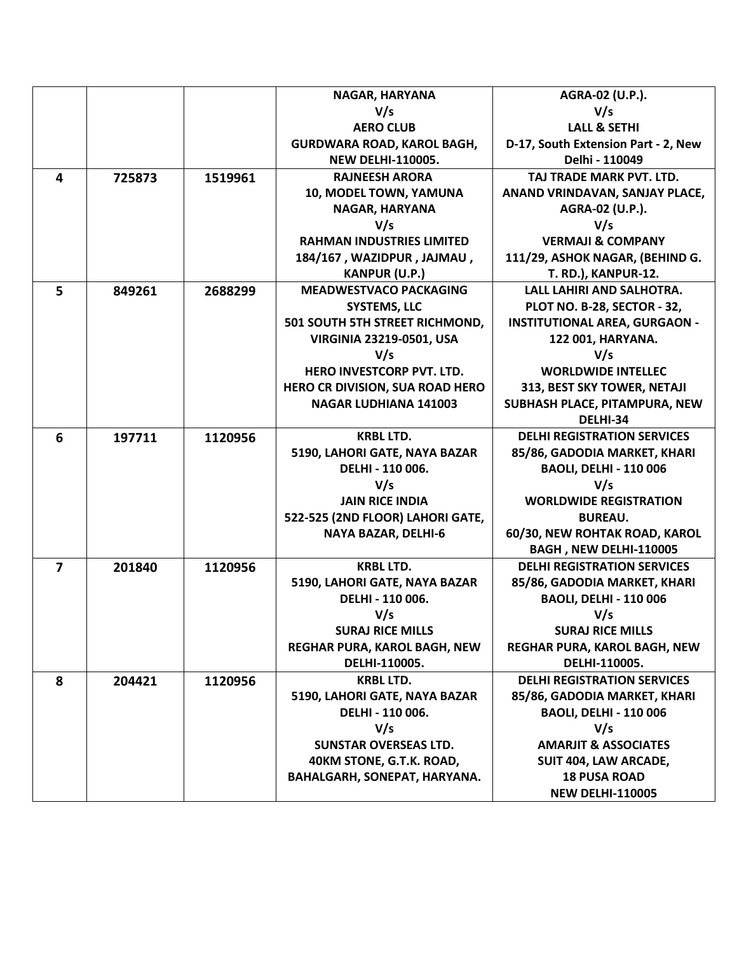|                |        |         | NAGAR, HARYANA                         | AGRA-02 (U.P.).                      |
|----------------|--------|---------|----------------------------------------|--------------------------------------|
|                |        |         | V/s                                    | V/s                                  |
|                |        |         | <b>AERO CLUB</b>                       | <b>LALL &amp; SETHI</b>              |
|                |        |         | GURDWARA ROAD, KAROL BAGH,             | D-17, South Extension Part - 2, New  |
|                |        |         | <b>NEW DELHI-110005.</b>               | Delhi - 110049                       |
| 4              | 725873 | 1519961 | <b>RAJNEESH ARORA</b>                  | TAJ TRADE MARK PVT. LTD.             |
|                |        |         | 10, MODEL TOWN, YAMUNA                 | ANAND VRINDAVAN, SANJAY PLACE,       |
|                |        |         | NAGAR, HARYANA                         | AGRA-02 (U.P.).                      |
|                |        |         | V/s                                    | V/s                                  |
|                |        |         | <b>RAHMAN INDUSTRIES LIMITED</b>       | <b>VERMAJI &amp; COMPANY</b>         |
|                |        |         | 184/167, WAZIDPUR, JAJMAU,             | 111/29, ASHOK NAGAR, (BEHIND G.      |
|                |        |         | <b>KANPUR (U.P.)</b>                   | <b>T. RD.), KANPUR-12.</b>           |
| 5              | 849261 | 2688299 | <b>MEADWESTVACO PACKAGING</b>          | LALL LAHIRI AND SALHOTRA.            |
|                |        |         | <b>SYSTEMS, LLC</b>                    | PLOT NO. B-28, SECTOR - 32,          |
|                |        |         | 501 SOUTH 5TH STREET RICHMOND,         | <b>INSTITUTIONAL AREA, GURGAON -</b> |
|                |        |         | <b>VIRGINIA 23219-0501, USA</b>        | 122 001, HARYANA.                    |
|                |        |         | V/s                                    | V/s                                  |
|                |        |         | <b>HERO INVESTCORP PVT. LTD.</b>       | <b>WORLDWIDE INTELLEC</b>            |
|                |        |         | <b>HERO CR DIVISION, SUA ROAD HERO</b> | 313, BEST SKY TOWER, NETAJI          |
|                |        |         | <b>NAGAR LUDHIANA 141003</b>           | SUBHASH PLACE, PITAMPURA, NEW        |
|                |        |         |                                        | DELHI-34                             |
| 6              | 197711 | 1120956 | <b>KRBL LTD.</b>                       | <b>DELHI REGISTRATION SERVICES</b>   |
|                |        |         | 5190, LAHORI GATE, NAYA BAZAR          | 85/86, GADODIA MARKET, KHARI         |
|                |        |         | DELHI - 110 006.                       | <b>BAOLI, DELHI - 110 006</b>        |
|                |        |         | V/s                                    | V/s                                  |
|                |        |         | <b>JAIN RICE INDIA</b>                 | <b>WORLDWIDE REGISTRATION</b>        |
|                |        |         | 522-525 (2ND FLOOR) LAHORI GATE,       | <b>BUREAU.</b>                       |
|                |        |         | <b>NAYA BAZAR, DELHI-6</b>             | 60/30, NEW ROHTAK ROAD, KAROL        |
|                |        |         |                                        | BAGH, NEW DELHI-110005               |
| $\overline{7}$ | 201840 | 1120956 | <b>KRBL LTD.</b>                       | <b>DELHI REGISTRATION SERVICES</b>   |
|                |        |         | 5190, LAHORI GATE, NAYA BAZAR          | 85/86, GADODIA MARKET, KHARI         |
|                |        |         | DELHI - 110 006.                       | <b>BAOLI, DELHI - 110 006</b>        |
|                |        |         | V/s                                    | V/s                                  |
|                |        |         | <b>SURAJ RICE MILLS</b>                | <b>SURAJ RICE MILLS</b>              |
|                |        |         | REGHAR PURA, KAROL BAGH, NEW           | REGHAR PURA, KAROL BAGH, NEW         |
|                |        |         | DELHI-110005.                          | DELHI-110005.                        |
| 8              | 204421 | 1120956 | <b>KRBL LTD.</b>                       | <b>DELHI REGISTRATION SERVICES</b>   |
|                |        |         | 5190, LAHORI GATE, NAYA BAZAR          | 85/86, GADODIA MARKET, KHARI         |
|                |        |         | DELHI - 110 006.                       | <b>BAOLI, DELHI - 110 006</b>        |
|                |        |         | V/s                                    | V/s                                  |
|                |        |         | <b>SUNSTAR OVERSEAS LTD.</b>           | <b>AMARJIT &amp; ASSOCIATES</b>      |
|                |        |         | 40KM STONE, G.T.K. ROAD,               | SUIT 404, LAW ARCADE,                |
|                |        |         | BAHALGARH, SONEPAT, HARYANA.           | <b>18 PUSA ROAD</b>                  |
|                |        |         |                                        | <b>NEW DELHI-110005</b>              |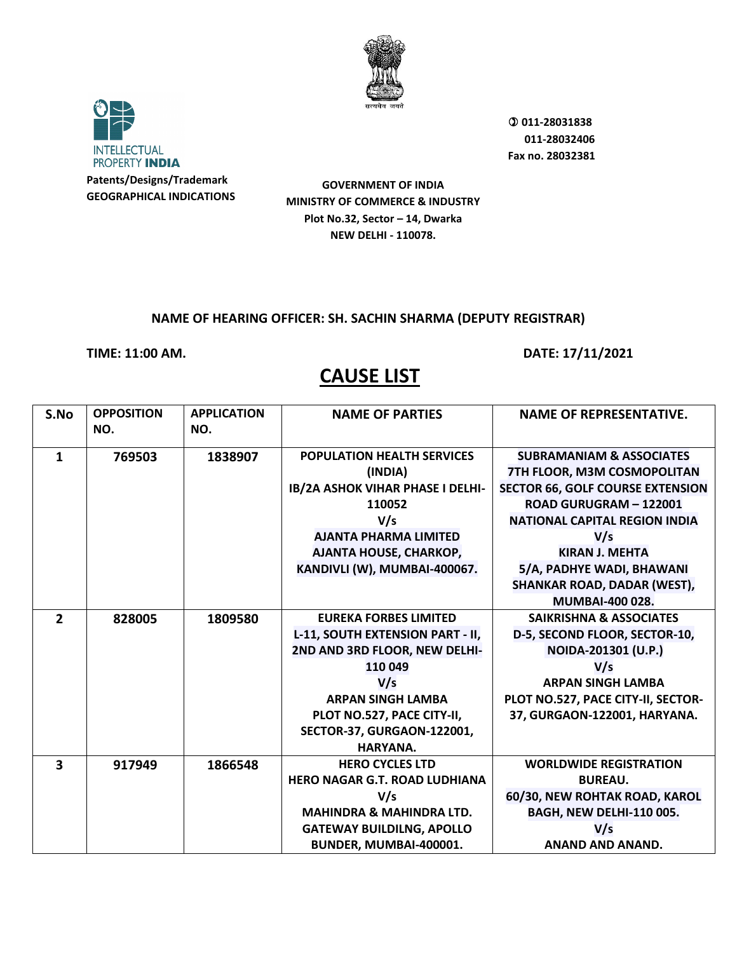



**GOVERNMENT OF INDIA MINISTRY OF COMMERCE & INDUSTRY Plot No.32, Sector – 14, Dwarka NEW DELHI - 110078.**

### **NAME OF HEARING OFFICER: SH. SACHIN SHARMA (DEPUTY REGISTRAR)**

**TIME: 11:00 AM. DATE: 17/11/2021** 

| S.No                    | <b>OPPOSITION</b> | <b>APPLICATION</b> | <b>NAME OF PARTIES</b>                  | <b>NAME OF REPRESENTATIVE.</b>          |
|-------------------------|-------------------|--------------------|-----------------------------------------|-----------------------------------------|
|                         | NO.               | NO.                |                                         |                                         |
| $\mathbf{1}$            | 769503            | 1838907            | <b>POPULATION HEALTH SERVICES</b>       | <b>SUBRAMANIAM &amp; ASSOCIATES</b>     |
|                         |                   |                    | (INDIA)                                 | 7TH FLOOR, M3M COSMOPOLITAN             |
|                         |                   |                    | <b>IB/2A ASHOK VIHAR PHASE I DELHI-</b> | <b>SECTOR 66, GOLF COURSE EXTENSION</b> |
|                         |                   |                    | 110052                                  | ROAD GURUGRAM - 122001                  |
|                         |                   |                    | V/s                                     | <b>NATIONAL CAPITAL REGION INDIA</b>    |
|                         |                   |                    | <b>AJANTA PHARMA LIMITED</b>            | V/s                                     |
|                         |                   |                    | AJANTA HOUSE, CHARKOP,                  | <b>KIRAN J. MEHTA</b>                   |
|                         |                   |                    | KANDIVLI (W), MUMBAI-400067.            | 5/A, PADHYE WADI, BHAWANI               |
|                         |                   |                    |                                         | <b>SHANKAR ROAD, DADAR (WEST),</b>      |
|                         |                   |                    |                                         | <b>MUMBAI-400 028.</b>                  |
| $\overline{2}$          | 828005            | 1809580            | <b>EUREKA FORBES LIMITED</b>            | <b>SAIKRISHNA &amp; ASSOCIATES</b>      |
|                         |                   |                    | L-11, SOUTH EXTENSION PART - II,        | D-5, SECOND FLOOR, SECTOR-10,           |
|                         |                   |                    | 2ND AND 3RD FLOOR, NEW DELHI-           | NOIDA-201301 (U.P.)                     |
|                         |                   |                    | 110 049                                 | V/s                                     |
|                         |                   |                    | V/s                                     | <b>ARPAN SINGH LAMBA</b>                |
|                         |                   |                    | <b>ARPAN SINGH LAMBA</b>                | PLOT NO.527, PACE CITY-II, SECTOR-      |
|                         |                   |                    | PLOT NO.527, PACE CITY-II,              | 37, GURGAON-122001, HARYANA.            |
|                         |                   |                    | SECTOR-37, GURGAON-122001,              |                                         |
|                         |                   |                    | HARYANA.                                |                                         |
| $\overline{\mathbf{3}}$ | 917949            | 1866548            | <b>HERO CYCLES LTD</b>                  | <b>WORLDWIDE REGISTRATION</b>           |
|                         |                   |                    | <b>HERO NAGAR G.T. ROAD LUDHIANA</b>    | <b>BUREAU.</b>                          |
|                         |                   |                    | V/s                                     | 60/30, NEW ROHTAK ROAD, KAROL           |
|                         |                   |                    | <b>MAHINDRA &amp; MAHINDRA LTD.</b>     | <b>BAGH, NEW DELHI-110 005.</b>         |
|                         |                   |                    | <b>GATEWAY BUILDILNG, APOLLO</b>        | V/s                                     |
|                         |                   |                    | BUNDER, MUMBAI-400001.                  | <b>ANAND AND ANAND.</b>                 |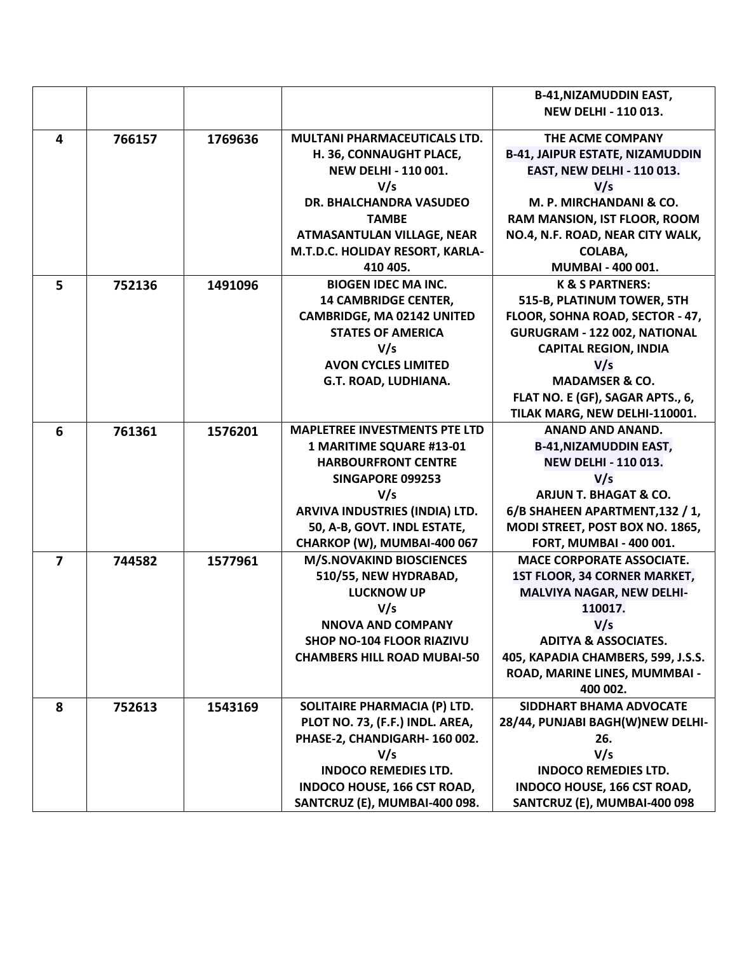|   |        |         |                                      | <b>B-41, NIZAMUDDIN EAST,</b>          |
|---|--------|---------|--------------------------------------|----------------------------------------|
|   |        |         |                                      | <b>NEW DELHI - 110 013.</b>            |
|   |        |         |                                      |                                        |
| 4 | 766157 | 1769636 | <b>MULTANI PHARMACEUTICALS LTD.</b>  | THE ACME COMPANY                       |
|   |        |         | H. 36, CONNAUGHT PLACE,              | <b>B-41, JAIPUR ESTATE, NIZAMUDDIN</b> |
|   |        |         | <b>NEW DELHI - 110 001.</b>          | <b>EAST, NEW DELHI - 110 013.</b>      |
|   |        |         | V/s                                  | V/s                                    |
|   |        |         | DR. BHALCHANDRA VASUDEO              | M. P. MIRCHANDANI & CO.                |
|   |        |         | <b>TAMBE</b>                         | RAM MANSION, IST FLOOR, ROOM           |
|   |        |         | <b>ATMASANTULAN VILLAGE, NEAR</b>    | NO.4, N.F. ROAD, NEAR CITY WALK,       |
|   |        |         | M.T.D.C. HOLIDAY RESORT, KARLA-      | COLABA,                                |
|   |        |         | 410 405.                             | MUMBAI - 400 001.                      |
| 5 | 752136 | 1491096 | <b>BIOGEN IDEC MA INC.</b>           | <b>K &amp; S PARTNERS:</b>             |
|   |        |         | <b>14 CAMBRIDGE CENTER,</b>          | 515-B, PLATINUM TOWER, 5TH             |
|   |        |         | <b>CAMBRIDGE, MA 02142 UNITED</b>    | FLOOR, SOHNA ROAD, SECTOR - 47,        |
|   |        |         | <b>STATES OF AMERICA</b>             | GURUGRAM - 122 002, NATIONAL           |
|   |        |         | V/s                                  | <b>CAPITAL REGION, INDIA</b>           |
|   |        |         | <b>AVON CYCLES LIMITED</b>           | V/s                                    |
|   |        |         | G.T. ROAD, LUDHIANA.                 | <b>MADAMSER &amp; CO.</b>              |
|   |        |         |                                      | FLAT NO. E (GF), SAGAR APTS., 6,       |
|   |        |         |                                      | TILAK MARG, NEW DELHI-110001.          |
| 6 | 761361 | 1576201 | <b>MAPLETREE INVESTMENTS PTE LTD</b> | <b>ANAND AND ANAND.</b>                |
|   |        |         | 1 MARITIME SQUARE #13-01             | <b>B-41, NIZAMUDDIN EAST,</b>          |
|   |        |         | <b>HARBOURFRONT CENTRE</b>           | <b>NEW DELHI - 110 013.</b>            |
|   |        |         | <b>SINGAPORE 099253</b>              | V/s                                    |
|   |        |         | V/s                                  | <b>ARJUN T. BHAGAT &amp; CO.</b>       |
|   |        |         | ARVIVA INDUSTRIES (INDIA) LTD.       | 6/B SHAHEEN APARTMENT, 132 / 1,        |
|   |        |         | 50, A-B, GOVT. INDL ESTATE,          | MODI STREET, POST BOX NO. 1865,        |
|   |        |         | CHARKOP (W), MUMBAI-400 067          | <b>FORT, MUMBAI - 400 001.</b>         |
| 7 | 744582 | 1577961 | <b>M/S.NOVAKIND BIOSCIENCES</b>      | <b>MACE CORPORATE ASSOCIATE.</b>       |
|   |        |         | 510/55, NEW HYDRABAD,                | 1ST FLOOR, 34 CORNER MARKET,           |
|   |        |         | <b>LUCKNOW UP</b>                    | <b>MALVIYA NAGAR, NEW DELHI-</b>       |
|   |        |         | V/s                                  | 110017.                                |
|   |        |         | <b>NNOVA AND COMPANY</b>             | V/s                                    |
|   |        |         | <b>SHOP NO-104 FLOOR RIAZIVU</b>     | <b>ADITYA &amp; ASSOCIATES.</b>        |
|   |        |         | <b>CHAMBERS HILL ROAD MUBAI-50</b>   | 405, KAPADIA CHAMBERS, 599, J.S.S.     |
|   |        |         |                                      | ROAD, MARINE LINES, MUMMBAI -          |
|   |        |         |                                      | 400 002.                               |
| 8 | 752613 | 1543169 | SOLITAIRE PHARMACIA (P) LTD.         | SIDDHART BHAMA ADVOCATE                |
|   |        |         | PLOT NO. 73, (F.F.) INDL. AREA,      | 28/44, PUNJABI BAGH(W)NEW DELHI-       |
|   |        |         | PHASE-2, CHANDIGARH-160002.          | 26.                                    |
|   |        |         | V/s                                  | V/s                                    |
|   |        |         | <b>INDOCO REMEDIES LTD.</b>          | <b>INDOCO REMEDIES LTD.</b>            |
|   |        |         | <b>INDOCO HOUSE, 166 CST ROAD,</b>   | <b>INDOCO HOUSE, 166 CST ROAD,</b>     |
|   |        |         | SANTCRUZ (E), MUMBAI-400 098.        | SANTCRUZ (E), MUMBAI-400 098           |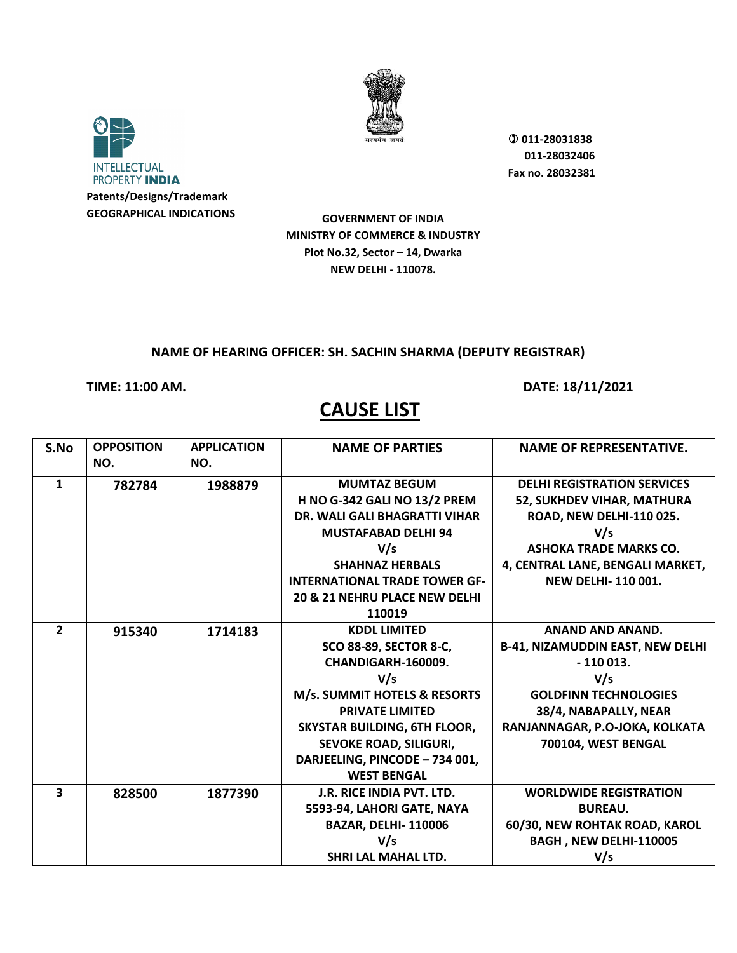



**Patents/Designs/Trademark GEOGRAPHICAL INDICATIONS**  **011-28031838 011-28032406 Fax no. 28032381**

**GOVERNMENT OF INDIA MINISTRY OF COMMERCE & INDUSTRY Plot No.32, Sector – 14, Dwarka NEW DELHI - 110078.**

#### **NAME OF HEARING OFFICER: SH. SACHIN SHARMA (DEPUTY REGISTRAR)**

**TIME: 11:00 AM. DATE: 18/11/2021** 

| S.No                    | <b>OPPOSITION</b> | <b>APPLICATION</b> | <b>NAME OF PARTIES</b>               | <b>NAME OF REPRESENTATIVE.</b>          |
|-------------------------|-------------------|--------------------|--------------------------------------|-----------------------------------------|
|                         | NO.               | NO.                |                                      |                                         |
| $\mathbf{1}$            | 782784            | 1988879            | <b>MUMTAZ BEGUM</b>                  | <b>DELHI REGISTRATION SERVICES</b>      |
|                         |                   |                    | <b>H NO G-342 GALI NO 13/2 PREM</b>  | <b>52, SUKHDEV VIHAR, MATHURA</b>       |
|                         |                   |                    | <b>DR. WALI GALI BHAGRATTI VIHAR</b> | ROAD, NEW DELHI-110 025.                |
|                         |                   |                    | <b>MUSTAFABAD DELHI 94</b>           | V/s                                     |
|                         |                   |                    | V/s                                  | <b>ASHOKA TRADE MARKS CO.</b>           |
|                         |                   |                    | <b>SHAHNAZ HERBALS</b>               | 4, CENTRAL LANE, BENGALI MARKET,        |
|                         |                   |                    | <b>INTERNATIONAL TRADE TOWER GF-</b> | NEW DELHI-110 001.                      |
|                         |                   |                    | 20 & 21 NEHRU PLACE NEW DELHI        |                                         |
|                         |                   |                    | 110019                               |                                         |
| $\overline{2}$          | 915340            | 1714183            | <b>KDDL LIMITED</b>                  | <b>ANAND AND ANAND.</b>                 |
|                         |                   |                    | <b>SCO 88-89, SECTOR 8-C,</b>        | <b>B-41, NIZAMUDDIN EAST, NEW DELHI</b> |
|                         |                   |                    | CHANDIGARH-160009.                   | $-110013.$                              |
|                         |                   |                    | V/s                                  | V/s                                     |
|                         |                   |                    | M/s. SUMMIT HOTELS & RESORTS         | <b>GOLDFINN TECHNOLOGIES</b>            |
|                         |                   |                    | <b>PRIVATE LIMITED</b>               | 38/4, NABAPALLY, NEAR                   |
|                         |                   |                    | <b>SKYSTAR BUILDING, 6TH FLOOR,</b>  | RANJANNAGAR, P.O-JOKA, KOLKATA          |
|                         |                   |                    | SEVOKE ROAD, SILIGURI,               | 700104, WEST BENGAL                     |
|                         |                   |                    | DARJEELING, PINCODE - 734 001,       |                                         |
|                         |                   |                    | <b>WEST BENGAL</b>                   |                                         |
| $\overline{\mathbf{3}}$ | 828500            | 1877390            | J.R. RICE INDIA PVT. LTD.            | <b>WORLDWIDE REGISTRATION</b>           |
|                         |                   |                    | 5593-94, LAHORI GATE, NAYA           | <b>BUREAU.</b>                          |
|                         |                   |                    | <b>BAZAR, DELHI-110006</b>           | 60/30, NEW ROHTAK ROAD, KAROL           |
|                         |                   |                    | V/s                                  | BAGH, NEW DELHI-110005                  |
|                         |                   |                    | SHRI LAL MAHAL LTD.                  | V/s                                     |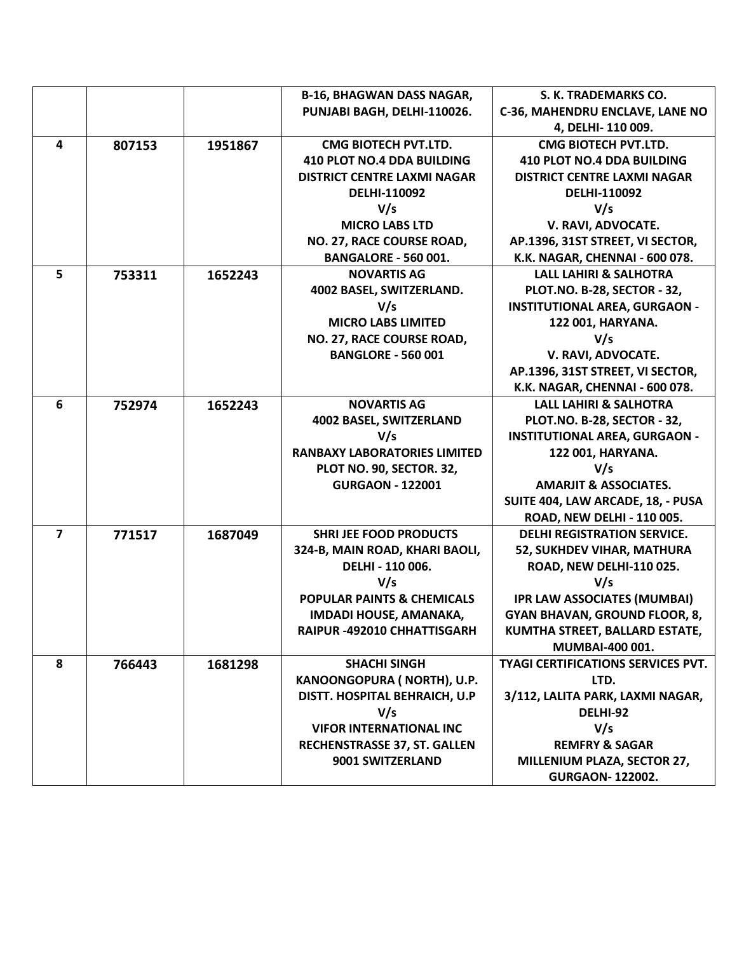|                |        |         | <b>B-16, BHAGWAN DASS NAGAR,</b>      | S. K. TRADEMARKS CO.                      |
|----------------|--------|---------|---------------------------------------|-------------------------------------------|
|                |        |         | PUNJABI BAGH, DELHI-110026.           | C-36, MAHENDRU ENCLAVE, LANE NO           |
|                |        |         |                                       | 4, DELHI-110 009.                         |
| 4              | 807153 | 1951867 | <b>CMG BIOTECH PVT.LTD.</b>           | <b>CMG BIOTECH PVT.LTD.</b>               |
|                |        |         | <b>410 PLOT NO.4 DDA BUILDING</b>     | <b>410 PLOT NO.4 DDA BUILDING</b>         |
|                |        |         | <b>DISTRICT CENTRE LAXMI NAGAR</b>    | <b>DISTRICT CENTRE LAXMI NAGAR</b>        |
|                |        |         | <b>DELHI-110092</b>                   | DELHI-110092                              |
|                |        |         | V/s                                   | V/s                                       |
|                |        |         | <b>MICRO LABS LTD</b>                 | V. RAVI, ADVOCATE.                        |
|                |        |         | NO. 27, RACE COURSE ROAD,             | AP.1396, 31ST STREET, VI SECTOR,          |
|                |        |         | <b>BANGALORE - 560 001.</b>           | K.K. NAGAR, CHENNAI - 600 078.            |
| 5              | 753311 | 1652243 | <b>NOVARTIS AG</b>                    | <b>LALL LAHIRI &amp; SALHOTRA</b>         |
|                |        |         | 4002 BASEL, SWITZERLAND.              | PLOT.NO. B-28, SECTOR - 32,               |
|                |        |         | V/s                                   | <b>INSTITUTIONAL AREA, GURGAON -</b>      |
|                |        |         | <b>MICRO LABS LIMITED</b>             | 122 001, HARYANA.                         |
|                |        |         | NO. 27, RACE COURSE ROAD,             | V/s                                       |
|                |        |         | <b>BANGLORE - 560 001</b>             | V. RAVI, ADVOCATE.                        |
|                |        |         |                                       | AP.1396, 31ST STREET, VI SECTOR,          |
|                |        |         |                                       | K.K. NAGAR, CHENNAI - 600 078.            |
| 6              | 752974 | 1652243 | <b>NOVARTIS AG</b>                    | <b>LALL LAHIRI &amp; SALHOTRA</b>         |
|                |        |         | 4002 BASEL, SWITZERLAND               | PLOT.NO. B-28, SECTOR - 32,               |
|                |        |         | V/s                                   | <b>INSTITUTIONAL AREA, GURGAON -</b>      |
|                |        |         | <b>RANBAXY LABORATORIES LIMITED</b>   | 122 001, HARYANA.                         |
|                |        |         | PLOT NO. 90, SECTOR. 32,              | V/s                                       |
|                |        |         | <b>GURGAON - 122001</b>               | <b>AMARJIT &amp; ASSOCIATES.</b>          |
|                |        |         |                                       | SUITE 404, LAW ARCADE, 18, - PUSA         |
|                |        |         |                                       | ROAD, NEW DELHI - 110 005.                |
| $\overline{7}$ | 771517 | 1687049 | <b>SHRI JEE FOOD PRODUCTS</b>         | <b>DELHI REGISTRATION SERVICE.</b>        |
|                |        |         | 324-B, MAIN ROAD, KHARI BAOLI,        | 52, SUKHDEV VIHAR, MATHURA                |
|                |        |         | DELHI - 110 006.                      | ROAD, NEW DELHI-110 025.                  |
|                |        |         | V/s                                   | V/s                                       |
|                |        |         | <b>POPULAR PAINTS &amp; CHEMICALS</b> | <b>IPR LAW ASSOCIATES (MUMBAI)</b>        |
|                |        |         | <b>IMDADI HOUSE, AMANAKA,</b>         | <b>GYAN BHAVAN, GROUND FLOOR, 8,</b>      |
|                |        |         | RAIPUR -492010 CHHATTISGARH           | KUMTHA STREET, BALLARD ESTATE,            |
|                |        |         |                                       | MUMBAI-400 001.                           |
| 8              | 766443 | 1681298 | <b>SHACHI SINGH</b>                   | <b>TYAGI CERTIFICATIONS SERVICES PVT.</b> |
|                |        |         | KANOONGOPURA (NORTH), U.P.            | LTD.                                      |
|                |        |         | DISTT. HOSPITAL BEHRAICH, U.P         | 3/112, LALITA PARK, LAXMI NAGAR,          |
|                |        |         | V/s                                   | DELHI-92                                  |
|                |        |         | <b>VIFOR INTERNATIONAL INC</b>        | V/s                                       |
|                |        |         | <b>RECHENSTRASSE 37, ST. GALLEN</b>   | <b>REMFRY &amp; SAGAR</b>                 |
|                |        |         | 9001 SWITZERLAND                      | MILLENIUM PLAZA, SECTOR 27,               |
|                |        |         |                                       | <b>GURGAON-122002.</b>                    |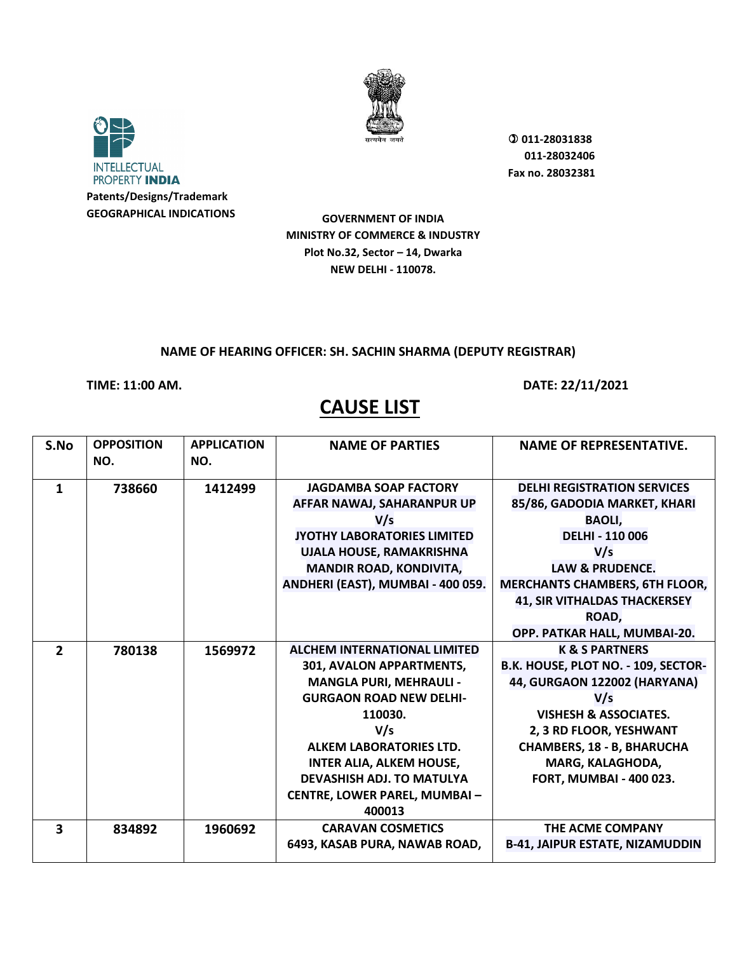



**Patents/Designs/Trademark GEOGRAPHICAL INDICATIONS**  **011-28031838 011-28032406 Fax no. 28032381**

**GOVERNMENT OF INDIA MINISTRY OF COMMERCE & INDUSTRY Plot No.32, Sector – 14, Dwarka NEW DELHI - 110078.**

#### **NAME OF HEARING OFFICER: SH. SACHIN SHARMA (DEPUTY REGISTRAR)**

### **TIME: 11:00 AM. DATE: 22/11/2021**

| S.No                    | <b>OPPOSITION</b> | <b>APPLICATION</b> | <b>NAME OF PARTIES</b>              | <b>NAME OF REPRESENTATIVE.</b>         |
|-------------------------|-------------------|--------------------|-------------------------------------|----------------------------------------|
|                         | NO.               | NO.                |                                     |                                        |
| 1                       | 738660            | 1412499            | <b>JAGDAMBA SOAP FACTORY</b>        | <b>DELHI REGISTRATION SERVICES</b>     |
|                         |                   |                    | AFFAR NAWAJ, SAHARANPUR UP          | 85/86, GADODIA MARKET, KHARI           |
|                         |                   |                    | V/s                                 | <b>BAOLI,</b>                          |
|                         |                   |                    | JYOTHY LABORATORIES LIMITED         | <b>DELHI - 110 006</b>                 |
|                         |                   |                    | UJALA HOUSE, RAMAKRISHNA            | V/s                                    |
|                         |                   |                    | MANDIR ROAD, KONDIVITA,             | <b>LAW &amp; PRUDENCE.</b>             |
|                         |                   |                    | ANDHERI (EAST), MUMBAI - 400 059.   | <b>MERCHANTS CHAMBERS, 6TH FLOOR,</b>  |
|                         |                   |                    |                                     | <b>41, SIR VITHALDAS THACKERSEY</b>    |
|                         |                   |                    |                                     | ROAD,                                  |
|                         |                   |                    |                                     | OPP. PATKAR HALL, MUMBAI-20.           |
| $\overline{2}$          | 780138            | 1569972            | <b>ALCHEM INTERNATIONAL LIMITED</b> | <b>K &amp; S PARTNERS</b>              |
|                         |                   |                    | 301, AVALON APPARTMENTS,            | B.K. HOUSE, PLOT NO. - 109, SECTOR-    |
|                         |                   |                    | <b>MANGLA PURI, MEHRAULI -</b>      | 44, GURGAON 122002 (HARYANA)           |
|                         |                   |                    | <b>GURGAON ROAD NEW DELHI-</b>      | V/s                                    |
|                         |                   |                    | 110030.                             | <b>VISHESH &amp; ASSOCIATES.</b>       |
|                         |                   |                    | V/s                                 | 2, 3 RD FLOOR, YESHWANT                |
|                         |                   |                    | <b>ALKEM LABORATORIES LTD.</b>      | <b>CHAMBERS, 18 - B, BHARUCHA</b>      |
|                         |                   |                    | <b>INTER ALIA, ALKEM HOUSE,</b>     | MARG, KALAGHODA,                       |
|                         |                   |                    | <b>DEVASHISH ADJ. TO MATULYA</b>    | <b>FORT, MUMBAI - 400 023.</b>         |
|                         |                   |                    | <b>CENTRE, LOWER PAREL, MUMBAI-</b> |                                        |
|                         |                   |                    | 400013                              |                                        |
| $\overline{\mathbf{3}}$ | 834892            | 1960692            | <b>CARAVAN COSMETICS</b>            | THE ACME COMPANY                       |
|                         |                   |                    | 6493, KASAB PURA, NAWAB ROAD,       | <b>B-41, JAIPUR ESTATE, NIZAMUDDIN</b> |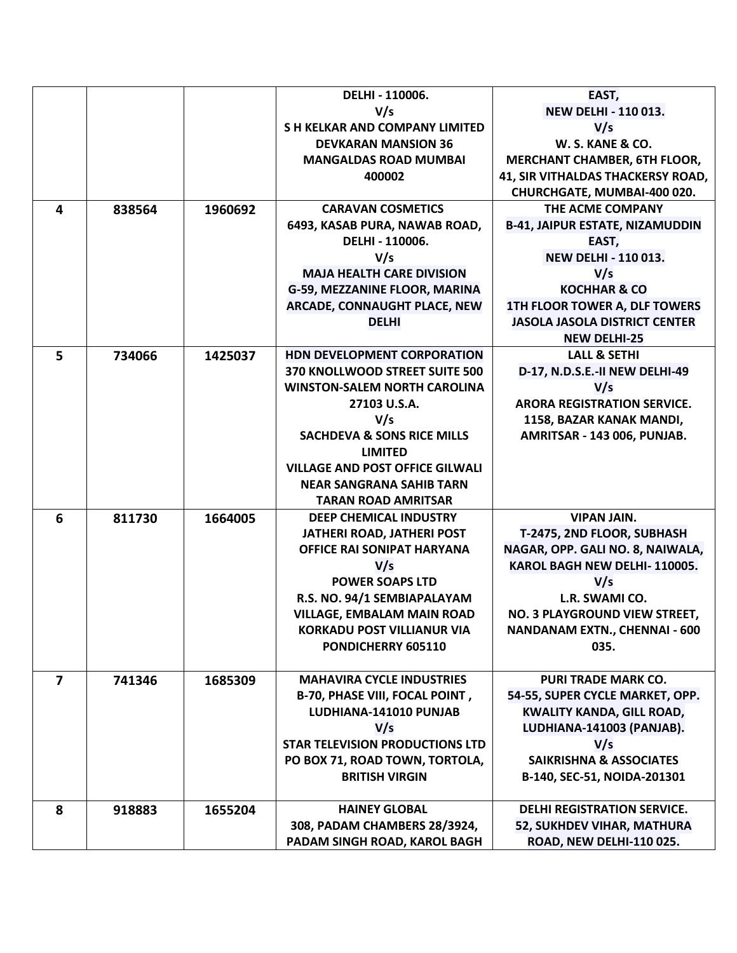|                |        |         | DELHI - 110006.                              | EAST,                                                   |
|----------------|--------|---------|----------------------------------------------|---------------------------------------------------------|
|                |        |         | V/s                                          | <b>NEW DELHI - 110 013.</b>                             |
|                |        |         | <b>SH KELKAR AND COMPANY LIMITED</b>         | V/s                                                     |
|                |        |         | <b>DEVKARAN MANSION 36</b>                   | W. S. KANE & CO.                                        |
|                |        |         | <b>MANGALDAS ROAD MUMBAI</b>                 | <b>MERCHANT CHAMBER, 6TH FLOOR,</b>                     |
|                |        |         | 400002                                       | 41, SIR VITHALDAS THACKERSY ROAD,                       |
|                |        |         |                                              | CHURCHGATE, MUMBAI-400 020.                             |
| 4              | 838564 | 1960692 | <b>CARAVAN COSMETICS</b>                     | THE ACME COMPANY                                        |
|                |        |         | 6493, KASAB PURA, NAWAB ROAD,                | <b>B-41, JAIPUR ESTATE, NIZAMUDDIN</b>                  |
|                |        |         | DELHI - 110006.                              | EAST,                                                   |
|                |        |         | V/s                                          | <b>NEW DELHI - 110 013.</b>                             |
|                |        |         | <b>MAJA HEALTH CARE DIVISION</b>             | V/s                                                     |
|                |        |         | G-59, MEZZANINE FLOOR, MARINA                | <b>KOCHHAR &amp; CO</b>                                 |
|                |        |         | ARCADE, CONNAUGHT PLACE, NEW                 | 1TH FLOOR TOWER A, DLF TOWERS                           |
|                |        |         | <b>DELHI</b>                                 | <b>JASOLA JASOLA DISTRICT CENTER</b>                    |
|                |        |         |                                              | <b>NEW DELHI-25</b>                                     |
| 5              | 734066 | 1425037 | HDN DEVELOPMENT CORPORATION                  | <b>LALL &amp; SETHI</b>                                 |
|                |        |         | 370 KNOLLWOOD STREET SUITE 500               | D-17, N.D.S.E.-II NEW DELHI-49                          |
|                |        |         | <b>WINSTON-SALEM NORTH CAROLINA</b>          | V/s                                                     |
|                |        |         | 27103 U.S.A.                                 | <b>ARORA REGISTRATION SERVICE.</b>                      |
|                |        |         | V/s<br><b>SACHDEVA &amp; SONS RICE MILLS</b> | 1158, BAZAR KANAK MANDI,<br>AMRITSAR - 143 006, PUNJAB. |
|                |        |         | <b>LIMITED</b>                               |                                                         |
|                |        |         | <b>VILLAGE AND POST OFFICE GILWALI</b>       |                                                         |
|                |        |         | <b>NEAR SANGRANA SAHIB TARN</b>              |                                                         |
|                |        |         | <b>TARAN ROAD AMRITSAR</b>                   |                                                         |
| 6              | 811730 | 1664005 | <b>DEEP CHEMICAL INDUSTRY</b>                | <b>VIPAN JAIN.</b>                                      |
|                |        |         | JATHERI ROAD, JATHERI POST                   | T-2475, 2ND FLOOR, SUBHASH                              |
|                |        |         | OFFICE RAI SONIPAT HARYANA                   | NAGAR, OPP. GALI NO. 8, NAIWALA,                        |
|                |        |         | V/s                                          | KAROL BAGH NEW DELHI-110005.                            |
|                |        |         | <b>POWER SOAPS LTD</b>                       | V/s                                                     |
|                |        |         | R.S. NO. 94/1 SEMBIAPALAYAM                  | L.R. SWAMI CO.                                          |
|                |        |         | <b>VILLAGE, EMBALAM MAIN ROAD</b>            | NO. 3 PLAYGROUND VIEW STREET,                           |
|                |        |         | <b>KORKADU POST VILLIANUR VIA</b>            | <b>NANDANAM EXTN., CHENNAI - 600</b>                    |
|                |        |         | PONDICHERRY 605110                           | 035.                                                    |
|                |        |         |                                              |                                                         |
| $\overline{7}$ | 741346 | 1685309 | <b>MAHAVIRA CYCLE INDUSTRIES</b>             | <b>PURI TRADE MARK CO.</b>                              |
|                |        |         | <b>B-70, PHASE VIII, FOCAL POINT,</b>        | 54-55, SUPER CYCLE MARKET, OPP.                         |
|                |        |         | LUDHIANA-141010 PUNJAB                       | <b>KWALITY KANDA, GILL ROAD,</b>                        |
|                |        |         | V/s                                          | LUDHIANA-141003 (PANJAB).                               |
|                |        |         | <b>STAR TELEVISION PRODUCTIONS LTD</b>       | V/s<br><b>SAIKRISHNA &amp; ASSOCIATES</b>               |
|                |        |         | PO BOX 71, ROAD TOWN, TORTOLA,               |                                                         |
|                |        |         | <b>BRITISH VIRGIN</b>                        | B-140, SEC-51, NOIDA-201301                             |
| 8              | 918883 | 1655204 | <b>HAINEY GLOBAL</b>                         | <b>DELHI REGISTRATION SERVICE.</b>                      |
|                |        |         | 308, PADAM CHAMBERS 28/3924,                 | 52, SUKHDEV VIHAR, MATHURA                              |
|                |        |         | PADAM SINGH ROAD, KAROL BAGH                 | ROAD, NEW DELHI-110 025.                                |